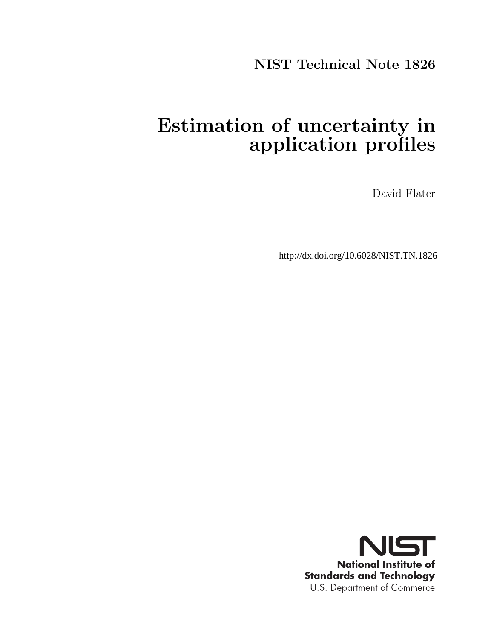NIST Technical Note 1826

# Estimation of uncertainty in application profiles

David Flater

http://dx.doi.org/10.6028/NIST.TN.1826

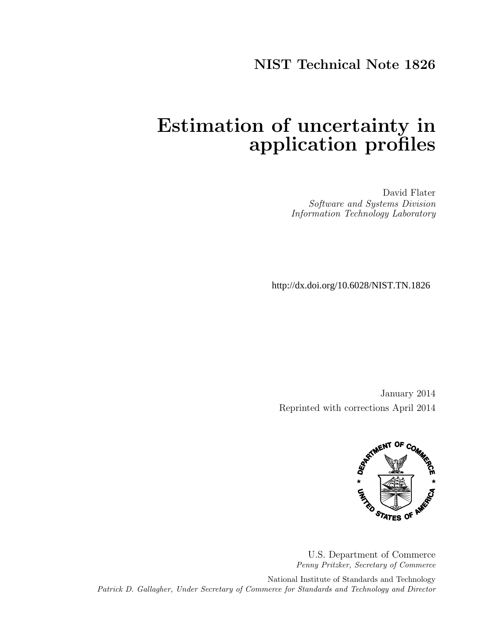# NIST Technical Note 1826

# Estimation of uncertainty in application profiles

David Flater Software and Systems Division Information Technology Laboratory

http://dx.doi.org/10.6028/NIST.TN.1826

January 2014 Reprinted with corrections April 2014



U.S. Department of Commerce Penny Pritzker, Secretary of Commerce

National Institute of Standards and Technology Patrick D. Gallagher, Under Secretary of Commerce for Standards and Technology and Director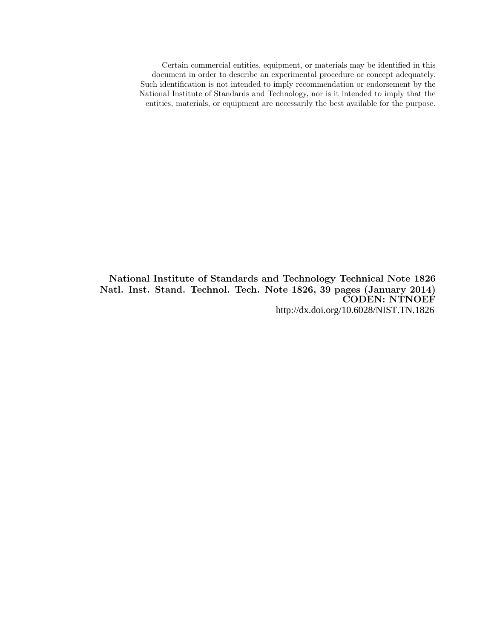Certain commercial entities, equipment, or materials may be identified in this document in order to describe an experimental procedure or concept adequately. Such identification is not intended to imply recommendation or endorsement by the National Institute of Standards and Technology, nor is it intended to imply that the entities, materials, or equipment are necessarily the best available for the purpose.

National Institute of Standards and Technology Technical Note 1826 Natl. Inst. Stand. Technol. Tech. Note 1826, 39 pages (January 2014) CODEN: NTNOEF http://dx.doi.org/10.6028/NIST.TN.1826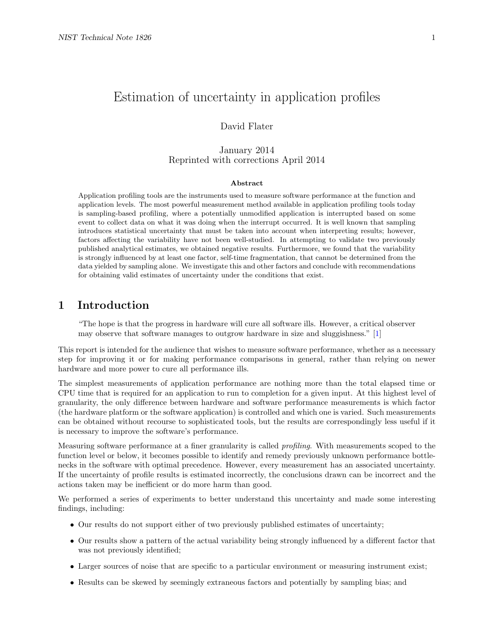# Estimation of uncertainty in application profiles

### David Flater

### January 2014 Reprinted with corrections April 2014

#### Abstract

Application profiling tools are the instruments used to measure software performance at the function and application levels. The most powerful measurement method available in application profiling tools today is sampling-based profiling, where a potentially unmodified application is interrupted based on some event to collect data on what it was doing when the interrupt occurred. It is well known that sampling introduces statistical uncertainty that must be taken into account when interpreting results; however, factors affecting the variability have not been well-studied. In attempting to validate two previously published analytical estimates, we obtained negative results. Furthermore, we found that the variability is strongly influenced by at least one factor, self-time fragmentation, that cannot be determined from the data yielded by sampling alone. We investigate this and other factors and conclude with recommendations for obtaining valid estimates of uncertainty under the conditions that exist.

## 1 Introduction

"The hope is that the progress in hardware will cure all software ills. However, a critical observer may observe that software manages to outgrow hardware in size and sluggishness." [\[1\]](#page-38-0)

This report is intended for the audience that wishes to measure software performance, whether as a necessary step for improving it or for making performance comparisons in general, rather than relying on newer hardware and more power to cure all performance ills.

The simplest measurements of application performance are nothing more than the total elapsed time or CPU time that is required for an application to run to completion for a given input. At this highest level of granularity, the only difference between hardware and software performance measurements is which factor (the hardware platform or the software application) is controlled and which one is varied. Such measurements can be obtained without recourse to sophisticated tools, but the results are correspondingly less useful if it is necessary to improve the software's performance.

Measuring software performance at a finer granularity is called profiling. With measurements scoped to the function level or below, it becomes possible to identify and remedy previously unknown performance bottlenecks in the software with optimal precedence. However, every measurement has an associated uncertainty. If the uncertainty of profile results is estimated incorrectly, the conclusions drawn can be incorrect and the actions taken may be inefficient or do more harm than good.

We performed a series of experiments to better understand this uncertainty and made some interesting findings, including:

- Our results do not support either of two previously published estimates of uncertainty;
- Our results show a pattern of the actual variability being strongly influenced by a different factor that was not previously identified;
- Larger sources of noise that are specific to a particular environment or measuring instrument exist;
- Results can be skewed by seemingly extraneous factors and potentially by sampling bias; and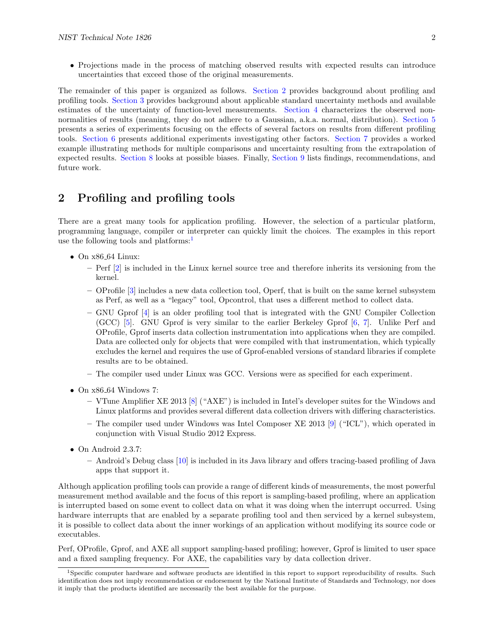• Projections made in the process of matching observed results with expected results can introduce uncertainties that exceed those of the original measurements.

The remainder of this paper is organized as follows. [Section 2](#page-4-0) provides background about profiling and profiling tools. [Section 3](#page-5-0) provides background about applicable standard uncertainty methods and available estimates of the uncertainty of function-level measurements. [Section 4](#page-10-0) characterizes the observed nonnormalities of results (meaning, they do not adhere to a Gaussian, a.k.a. normal, distribution). [Section 5](#page-12-0) presents a series of experiments focusing on the effects of several factors on results from different profiling tools. [Section 6](#page-23-0) presents additional experiments investigating other factors. [Section 7](#page-29-0) provides a worked example illustrating methods for multiple comparisons and uncertainty resulting from the extrapolation of expected results. [Section 8](#page-32-0) looks at possible biases. Finally, [Section 9](#page-34-0) lists findings, recommendations, and future work.

# <span id="page-4-0"></span>2 Profiling and profiling tools

There are a great many tools for application profiling. However, the selection of a particular platform, programming language, compiler or interpreter can quickly limit the choices. The examples in this report use the following tools and platforms: $<sup>1</sup>$  $<sup>1</sup>$  $<sup>1</sup>$ </sup>

- On x86<sub>-64</sub> Linux:
	- Perf [\[2\]](#page-38-1) is included in the Linux kernel source tree and therefore inherits its versioning from the kernel.
	- OProfile [\[3\]](#page-38-2) includes a new data collection tool, Operf, that is built on the same kernel subsystem as Perf, as well as a "legacy" tool, Opcontrol, that uses a different method to collect data.
	- GNU Gprof [\[4\]](#page-38-3) is an older profiling tool that is integrated with the GNU Compiler Collection (GCC) [\[5\]](#page-38-4). GNU Gprof is very similar to the earlier Berkeley Gprof [\[6,](#page-38-5) [7\]](#page-38-6). Unlike Perf and OProfile, Gprof inserts data collection instrumentation into applications when they are compiled. Data are collected only for objects that were compiled with that instrumentation, which typically excludes the kernel and requires the use of Gprof-enabled versions of standard libraries if complete results are to be obtained.
	- The compiler used under Linux was GCC. Versions were as specified for each experiment.
- On x86 64 Windows 7:
	- VTune Amplifier XE 2013 [\[8\]](#page-38-7) ("AXE") is included in Intel's developer suites for the Windows and Linux platforms and provides several different data collection drivers with differing characteristics.
	- The compiler used under Windows was Intel Composer XE 2013 [\[9\]](#page-38-8) ("ICL"), which operated in conjunction with Visual Studio 2012 Express.
- On Android 2.3.7:
	- Android's Debug class [\[10\]](#page-38-9) is included in its Java library and offers tracing-based profiling of Java apps that support it.

Although application profiling tools can provide a range of different kinds of measurements, the most powerful measurement method available and the focus of this report is sampling-based profiling, where an application is interrupted based on some event to collect data on what it was doing when the interrupt occurred. Using hardware interrupts that are enabled by a separate profiling tool and then serviced by a kernel subsystem, it is possible to collect data about the inner workings of an application without modifying its source code or executables.

Perf, OProfile, Gprof, and AXE all support sampling-based profiling; however, Gprof is limited to user space and a fixed sampling frequency. For AXE, the capabilities vary by data collection driver.

<span id="page-4-1"></span><sup>&</sup>lt;sup>1</sup>Specific computer hardware and software products are identified in this report to support reproducibility of results. Such identification does not imply recommendation or endorsement by the National Institute of Standards and Technology, nor does it imply that the products identified are necessarily the best available for the purpose.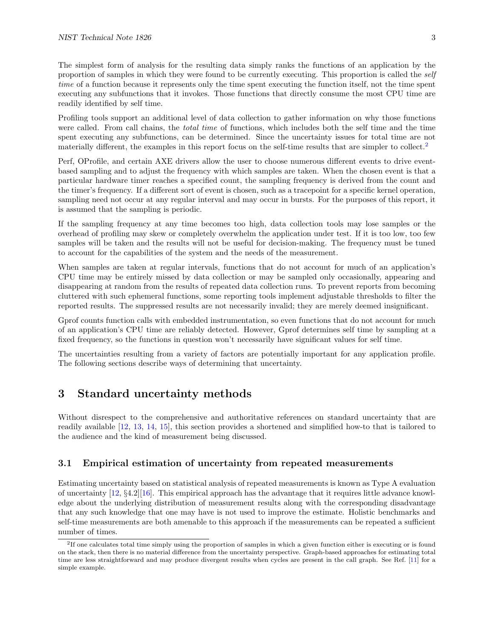The simplest form of analysis for the resulting data simply ranks the functions of an application by the proportion of samples in which they were found to be currently executing. This proportion is called the self time of a function because it represents only the time spent executing the function itself, not the time spent executing any subfunctions that it invokes. Those functions that directly consume the most CPU time are readily identified by self time.

Profiling tools support an additional level of data collection to gather information on why those functions were called. From call chains, the *total time* of functions, which includes both the self time and the time spent executing any subfunctions, can be determined. Since the uncertainty issues for total time are not materially different, the examples in this report focus on the self-time results that are simpler to collect.<sup>[2](#page-5-1)</sup>

Perf, OProfile, and certain AXE drivers allow the user to choose numerous different events to drive eventbased sampling and to adjust the frequency with which samples are taken. When the chosen event is that a particular hardware timer reaches a specified count, the sampling frequency is derived from the count and the timer's frequency. If a different sort of event is chosen, such as a tracepoint for a specific kernel operation, sampling need not occur at any regular interval and may occur in bursts. For the purposes of this report, it is assumed that the sampling is periodic.

If the sampling frequency at any time becomes too high, data collection tools may lose samples or the overhead of profiling may skew or completely overwhelm the application under test. If it is too low, too few samples will be taken and the results will not be useful for decision-making. The frequency must be tuned to account for the capabilities of the system and the needs of the measurement.

When samples are taken at regular intervals, functions that do not account for much of an application's CPU time may be entirely missed by data collection or may be sampled only occasionally, appearing and disappearing at random from the results of repeated data collection runs. To prevent reports from becoming cluttered with such ephemeral functions, some reporting tools implement adjustable thresholds to filter the reported results. The suppressed results are not necessarily invalid; they are merely deemed insignificant.

Gprof counts function calls with embedded instrumentation, so even functions that do not account for much of an application's CPU time are reliably detected. However, Gprof determines self time by sampling at a fixed frequency, so the functions in question won't necessarily have significant values for self time.

The uncertainties resulting from a variety of factors are potentially important for any application profile. The following sections describe ways of determining that uncertainty.

# <span id="page-5-0"></span>3 Standard uncertainty methods

Without disrespect to the comprehensive and authoritative references on standard uncertainty that are readily available [\[12,](#page-38-10) [13,](#page-38-11) [14,](#page-38-12) [15\]](#page-38-13), this section provides a shortened and simplified how-to that is tailored to the audience and the kind of measurement being discussed.

### 3.1 Empirical estimation of uncertainty from repeated measurements

Estimating uncertainty based on statistical analysis of repeated measurements is known as Type A evaluation of uncertainty [\[12,](#page-38-10) §4.2][\[16\]](#page-38-14). This empirical approach has the advantage that it requires little advance knowledge about the underlying distribution of measurement results along with the corresponding disadvantage that any such knowledge that one may have is not used to improve the estimate. Holistic benchmarks and self-time measurements are both amenable to this approach if the measurements can be repeated a sufficient number of times.

<span id="page-5-1"></span><sup>&</sup>lt;sup>2</sup>If one calculates total time simply using the proportion of samples in which a given function either is executing or is found on the stack, then there is no material difference from the uncertainty perspective. Graph-based approaches for estimating total time are less straightforward and may produce divergent results when cycles are present in the call graph. See Ref. [\[11\]](#page-38-15) for a simple example.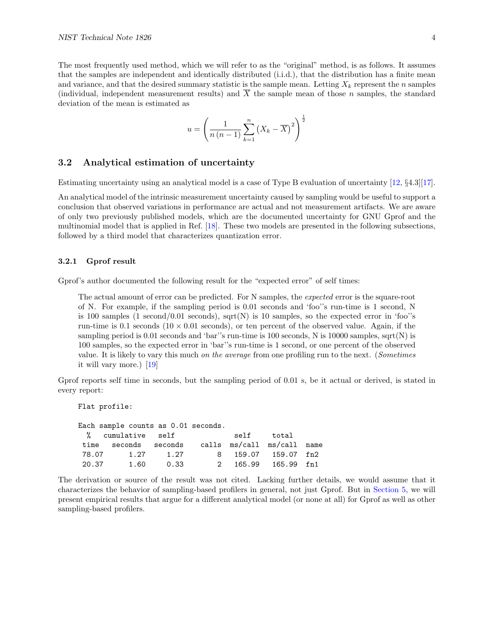The most frequently used method, which we will refer to as the "original" method, is as follows. It assumes that the samples are independent and identically distributed (i.i.d.), that the distribution has a finite mean and variance, and that the desired summary statistic is the sample mean. Letting  $X_k$  represent the n samples (individual, independent measurement results) and  $\overline{X}$  the sample mean of those n samples, the standard deviation of the mean is estimated as

$$
u = \left(\frac{1}{n\left(n-1\right)}\sum_{k=1}^{n}\left(X_k - \overline{X}\right)^2\right)^{\frac{1}{2}}
$$

### <span id="page-6-0"></span>3.2 Analytical estimation of uncertainty

Estimating uncertainty using an analytical model is a case of Type B evaluation of uncertainty [\[12,](#page-38-10) §4.3][\[17\]](#page-38-16).

An analytical model of the intrinsic measurement uncertainty caused by sampling would be useful to support a conclusion that observed variations in performance are actual and not measurement artifacts. We are aware of only two previously published models, which are the documented uncertainty for GNU Gprof and the multinomial model that is applied in Ref. [\[18\]](#page-38-17). These two models are presented in the following subsections, followed by a third model that characterizes quantization error.

#### <span id="page-6-1"></span>3.2.1 Gprof result

Gprof's author documented the following result for the "expected error" of self times:

The actual amount of error can be predicted. For N samples, the expected error is the square-root of N. For example, if the sampling period is 0.01 seconds and 'foo''s run-time is 1 second, N is 100 samples (1 second/0.01 seconds), sqrt(N) is 10 samples, so the expected error in 'foo''s run-time is 0.1 seconds  $(10 \times 0.01$  seconds), or ten percent of the observed value. Again, if the sampling period is 0.01 seconds and 'bar''s run-time is 100 seconds, N is 10000 samples, sqrt(N) is 100 samples, so the expected error in 'bar''s run-time is 1 second, or one percent of the observed value. It is likely to vary this much on the average from one profiling run to the next. (Sometimes it will vary more.) [\[19\]](#page-38-18)

Gprof reports self time in seconds, but the sampling period of 0.01 s, be it actual or derived, is stated in every report:

Flat profile: Each sample counts as 0.01 seconds. % cumulative self self total time seconds seconds calls ms/call ms/call name 78.07 1.27 1.27 8 159.07 159.07 fn2 20.37 1.60 0.33 2 165.99 165.99 fn1

The derivation or source of the result was not cited. Lacking further details, we would assume that it characterizes the behavior of sampling-based profilers in general, not just Gprof. But in [Section 5,](#page-12-0) we will present empirical results that argue for a different analytical model (or none at all) for Gprof as well as other sampling-based profilers.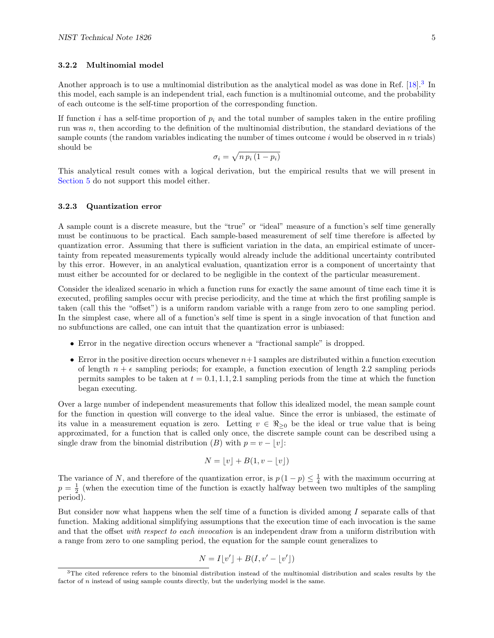#### 3.2.2 Multinomial model

Another approach is to use a multinomial distribution as the analytical model as was done in Ref. [\[18\]](#page-38-17).<sup>[3](#page-7-0)</sup> In this model, each sample is an independent trial, each function is a multinomial outcome, and the probability of each outcome is the self-time proportion of the corresponding function.

If function i has a self-time proportion of  $p_i$  and the total number of samples taken in the entire profiling run was n, then according to the definition of the multinomial distribution, the standard deviations of the sample counts (the random variables indicating the number of times outcome  $i$  would be observed in  $n$  trials) should be

$$
\sigma_i = \sqrt{n \, p_i \, (1-p_i)}
$$

This analytical result comes with a logical derivation, but the empirical results that we will present in [Section 5](#page-12-0) do not support this model either.

#### <span id="page-7-1"></span>3.2.3 Quantization error

A sample count is a discrete measure, but the "true" or "ideal" measure of a function's self time generally must be continuous to be practical. Each sample-based measurement of self time therefore is affected by quantization error. Assuming that there is sufficient variation in the data, an empirical estimate of uncertainty from repeated measurements typically would already include the additional uncertainty contributed by this error. However, in an analytical evaluation, quantization error is a component of uncertainty that must either be accounted for or declared to be negligible in the context of the particular measurement.

Consider the idealized scenario in which a function runs for exactly the same amount of time each time it is executed, profiling samples occur with precise periodicity, and the time at which the first profiling sample is taken (call this the "offset") is a uniform random variable with a range from zero to one sampling period. In the simplest case, where all of a function's self time is spent in a single invocation of that function and no subfunctions are called, one can intuit that the quantization error is unbiased:

- Error in the negative direction occurs whenever a "fractional sample" is dropped.
- Error in the positive direction occurs whenever  $n+1$  samples are distributed within a function execution of length  $n + \epsilon$  sampling periods; for example, a function execution of length 2.2 sampling periods permits samples to be taken at  $t = 0.1, 1.1, 2.1$  sampling periods from the time at which the function began executing.

Over a large number of independent measurements that follow this idealized model, the mean sample count for the function in question will converge to the ideal value. Since the error is unbiased, the estimate of its value in a measurement equation is zero. Letting  $v \in \Re_{\geq 0}$  be the ideal or true value that is being approximated, for a function that is called only once, the discrete sample count can be described using a single draw from the binomial distribution (B) with  $p = v - |v|$ :

$$
N = \lfloor v \rfloor + B(1, v - \lfloor v \rfloor)
$$

The variance of N, and therefore of the quantization error, is  $p(1-p) \leq \frac{1}{4}$  with the maximum occurring at  $p = \frac{1}{2}$  (when the execution time of the function is exactly halfway between two multiples of the sampling period).

But consider now what happens when the self time of a function is divided among I separate calls of that function. Making additional simplifying assumptions that the execution time of each invocation is the same and that the offset with respect to each invocation is an independent draw from a uniform distribution with a range from zero to one sampling period, the equation for the sample count generalizes to

$$
N = I\lfloor v' \rfloor + B(I, v' - \lfloor v' \rfloor)
$$

<span id="page-7-0"></span><sup>3</sup>The cited reference refers to the binomial distribution instead of the multinomial distribution and scales results by the factor of n instead of using sample counts directly, but the underlying model is the same.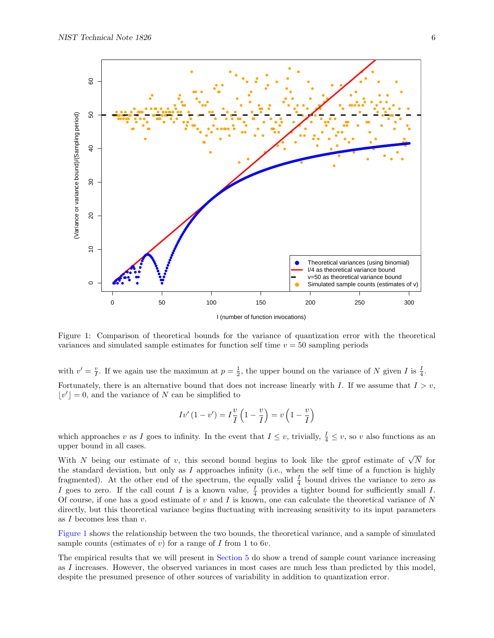<span id="page-8-0"></span>

I (number of function invocations)

Figure 1: Comparison of theoretical bounds for the variance of quantization error with the theoretical variances and simulated sample estimates for function self time  $v = 50$  sampling periods

with  $v' = \frac{v}{I}$ . If we again use the maximum at  $p = \frac{1}{2}$ , the upper bound on the variance of N given I is  $\frac{I}{4}$ . Fortunately, there is an alternative bound that does not increase linearly with I. If we assume that  $I > v$ ,  $\lfloor v' \rfloor = 0$ , and the variance of N can be simplified to

$$
Iv'(1-v') = I\frac{v}{I}\left(1-\frac{v}{I}\right) = v\left(1-\frac{v}{I}\right)
$$

which approaches v as I goes to infinity. In the event that  $I \leq v$ , trivially,  $\frac{I}{4} \leq v$ , so v also functions as an upper bound in all cases.

With N being our estimate of v, this second bound begins to look like the gprof estimate of  $\sqrt{N}$  for the standard deviation, but only as  $I$  approaches infinity (i.e., when the self time of a function is highly fragmented). At the other end of the spectrum, the equally valid  $\frac{I}{4}$  bound drives the variance to zero as I goes to zero. If the call count I is a known value,  $\frac{I}{4}$  provides a tighter bound for sufficiently small I. Of course, if one has a good estimate of  $v$  and  $I$  is known, one can calculate the theoretical variance of  $N$ directly, but this theoretical variance begins fluctuating with increasing sensitivity to its input parameters as  $I$  becomes less than  $v$ .

[Figure 1](#page-8-0) shows the relationship between the two bounds, the theoretical variance, and a sample of simulated sample counts (estimates of  $v$ ) for a range of  $I$  from 1 to  $6v$ .

The empirical results that we will present in [Section 5](#page-12-0) do show a trend of sample count variance increasing as I increases. However, the observed variances in most cases are much less than predicted by this model, despite the presumed presence of other sources of variability in addition to quantization error.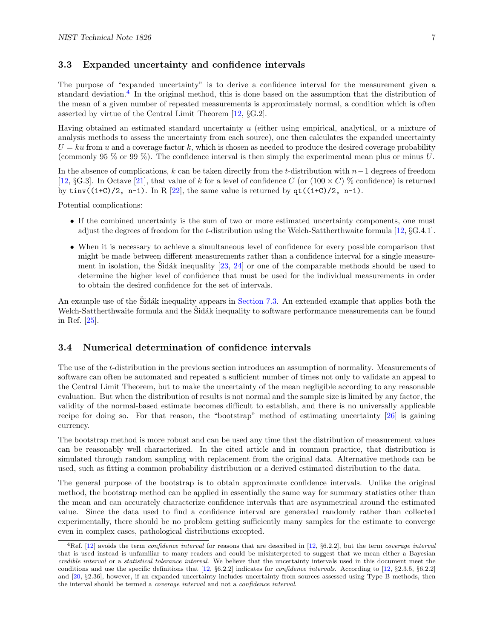### <span id="page-9-1"></span>3.3 Expanded uncertainty and confidence intervals

The purpose of "expanded uncertainty" is to derive a confidence interval for the measurement given a standard deviation.<sup>[4](#page-9-0)</sup> In the original method, this is done based on the assumption that the distribution of the mean of a given number of repeated measurements is approximately normal, a condition which is often asserted by virtue of the Central Limit Theorem [\[12,](#page-38-10) §G.2].

Having obtained an estimated standard uncertainty u (either using empirical, analytical, or a mixture of analysis methods to assess the uncertainty from each source), one then calculates the expanded uncertainty  $U = ku$  from u and a coverage factor k, which is chosen as needed to produce the desired coverage probability (commonly 95 % or 99 %). The confidence interval is then simply the experimental mean plus or minus U.

In the absence of complications, k can be taken directly from the t-distribution with  $n-1$  degrees of freedom [\[12,](#page-38-10) §G.3]. In Octave [\[21\]](#page-39-0), that value of k for a level of confidence C (or  $(100 \times C)$  % confidence) is returned by tinv((1+C)/2, n-1). In R [\[22\]](#page-39-1), the same value is returned by  $qt((1+C)/2, n-1)$ .

Potential complications:

- If the combined uncertainty is the sum of two or more estimated uncertainty components, one must adjust the degrees of freedom for the t-distribution using the Welch-Sattherthwaite formula [\[12,](#page-38-10) §G.4.1].
- When it is necessary to achieve a simultaneous level of confidence for every possible comparison that might be made between different measurements rather than a confidence interval for a single measurement in isolation, the Sidák inequality  $[23, 24]$  $[23, 24]$  $[23, 24]$  $[23, 24]$  or one of the comparable methods should be used to determine the higher level of confidence that must be used for the individual measurements in order to obtain the desired confidence for the set of intervals.

An example use of the Sidák inequality appears in [Section 7.3.](#page-30-0) An extended example that applies both the Welch-Sattherthwaite formula and the Sidák inequality to software performance measurements can be found in Ref. [\[25\]](#page-39-4).

### 3.4 Numerical determination of confidence intervals

The use of the t-distribution in the previous section introduces an assumption of normality. Measurements of software can often be automated and repeated a sufficient number of times not only to validate an appeal to the Central Limit Theorem, but to make the uncertainty of the mean negligible according to any reasonable evaluation. But when the distribution of results is not normal and the sample size is limited by any factor, the validity of the normal-based estimate becomes difficult to establish, and there is no universally applicable recipe for doing so. For that reason, the "bootstrap" method of estimating uncertainty [\[26\]](#page-39-5) is gaining currency.

The bootstrap method is more robust and can be used any time that the distribution of measurement values can be reasonably well characterized. In the cited article and in common practice, that distribution is simulated through random sampling with replacement from the original data. Alternative methods can be used, such as fitting a common probability distribution or a derived estimated distribution to the data.

The general purpose of the bootstrap is to obtain approximate confidence intervals. Unlike the original method, the bootstrap method can be applied in essentially the same way for summary statistics other than the mean and can accurately characterize confidence intervals that are asymmetrical around the estimated value. Since the data used to find a confidence interval are generated randomly rather than collected experimentally, there should be no problem getting sufficiently many samples for the estimate to converge even in complex cases, pathological distributions excepted.

<span id="page-9-0"></span> ${}^{4}$ Ref. [\[12\]](#page-38-10) avoids the term *confidence interval* for reasons that are described in [\[12,](#page-38-10)  $\S6.2.2$ ], but the term *coverage interval* that is used instead is unfamiliar to many readers and could be misinterpreted to suggest that we mean either a Bayesian credible interval or a statistical tolerance interval. We believe that the uncertainty intervals used in this document meet the conditions and use the specific definitions that [\[12,](#page-38-10) §6.2.2] indicates for confidence intervals. According to [\[12,](#page-38-10) §2.3.5, §6.2.2] and [\[20,](#page-39-6) §2.36], however, if an expanded uncertainty includes uncertainty from sources assessed using Type B methods, then the interval should be termed a coverage interval and not a confidence interval.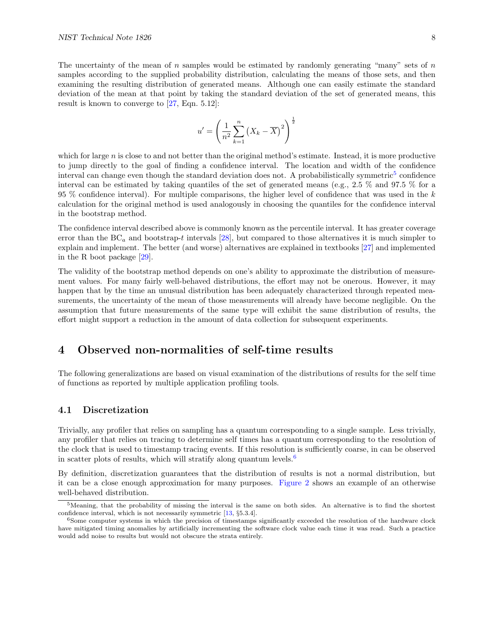The uncertainty of the mean of n samples would be estimated by randomly generating "many" sets of  $n$ samples according to the supplied probability distribution, calculating the means of those sets, and then examining the resulting distribution of generated means. Although one can easily estimate the standard deviation of the mean at that point by taking the standard deviation of the set of generated means, this result is known to converge to [\[27,](#page-39-7) Eqn. 5.12]:

$$
u' = \left(\frac{1}{n^2} \sum_{k=1}^n (X_k - \overline{X})^2\right)^{\frac{1}{2}}
$$

which for large n is close to and not better than the original method's estimate. Instead, it is more productive to jump directly to the goal of finding a confidence interval. The location and width of the confidence interval can change even though the standard deviation does not. A probabilistically symmetric<sup>[5](#page-10-1)</sup> confidence interval can be estimated by taking quantiles of the set of generated means (e.g.,  $2.5\%$  and  $97.5\%$  for a 95 % confidence interval). For multiple comparisons, the higher level of confidence that was used in the  $k$ calculation for the original method is used analogously in choosing the quantiles for the confidence interval in the bootstrap method.

The confidence interval described above is commonly known as the percentile interval. It has greater coverage error than the  $BC_a$  and bootstrap-t intervals [\[28\]](#page-39-8), but compared to those alternatives it is much simpler to explain and implement. The better (and worse) alternatives are explained in textbooks [\[27\]](#page-39-7) and implemented in the R boot package [\[29\]](#page-39-9).

The validity of the bootstrap method depends on one's ability to approximate the distribution of measurement values. For many fairly well-behaved distributions, the effort may not be onerous. However, it may happen that by the time an unusual distribution has been adequately characterized through repeated measurements, the uncertainty of the mean of those measurements will already have become negligible. On the assumption that future measurements of the same type will exhibit the same distribution of results, the effort might support a reduction in the amount of data collection for subsequent experiments.

# <span id="page-10-0"></span>4 Observed non-normalities of self-time results

The following generalizations are based on visual examination of the distributions of results for the self time of functions as reported by multiple application profiling tools.

### 4.1 Discretization

Trivially, any profiler that relies on sampling has a quantum corresponding to a single sample. Less trivially, any profiler that relies on tracing to determine self times has a quantum corresponding to the resolution of the clock that is used to timestamp tracing events. If this resolution is sufficiently coarse, in can be observed in scatter plots of results, which will stratify along quantum levels.<sup>[6](#page-10-2)</sup>

By definition, discretization guarantees that the distribution of results is not a normal distribution, but it can be a close enough approximation for many purposes. [Figure 2](#page-11-0) shows an example of an otherwise well-behaved distribution.

<span id="page-10-1"></span><sup>&</sup>lt;sup>5</sup>Meaning, that the probability of missing the interval is the same on both sides. An alternative is to find the shortest confidence interval, which is not necessarily symmetric [\[13,](#page-38-11) §5.3.4].

<span id="page-10-2"></span> $6$ Some computer systems in which the precision of timestamps significantly exceeded the resolution of the hardware clock have mitigated timing anomalies by artificially incrementing the software clock value each time it was read. Such a practice would add noise to results but would not obscure the strata entirely.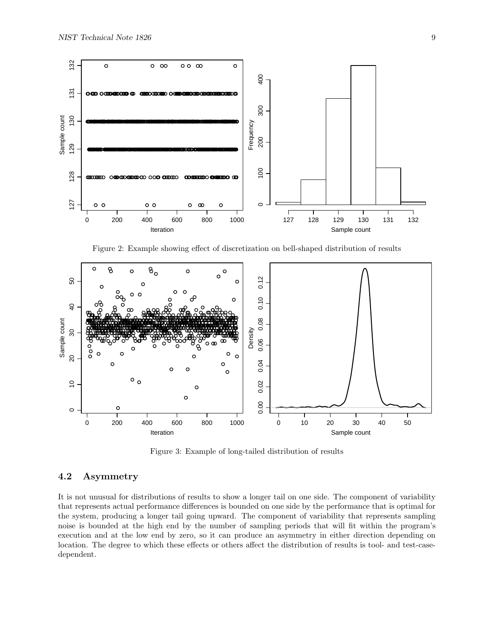<span id="page-11-0"></span>

Figure 2: Example showing effect of discretization on bell-shaped distribution of results

<span id="page-11-1"></span>

Figure 3: Example of long-tailed distribution of results

### 4.2 Asymmetry

It is not unusual for distributions of results to show a longer tail on one side. The component of variability that represents actual performance differences is bounded on one side by the performance that is optimal for the system, producing a longer tail going upward. The component of variability that represents sampling noise is bounded at the high end by the number of sampling periods that will fit within the program's execution and at the low end by zero, so it can produce an asymmetry in either direction depending on location. The degree to which these effects or others affect the distribution of results is tool- and test-casedependent.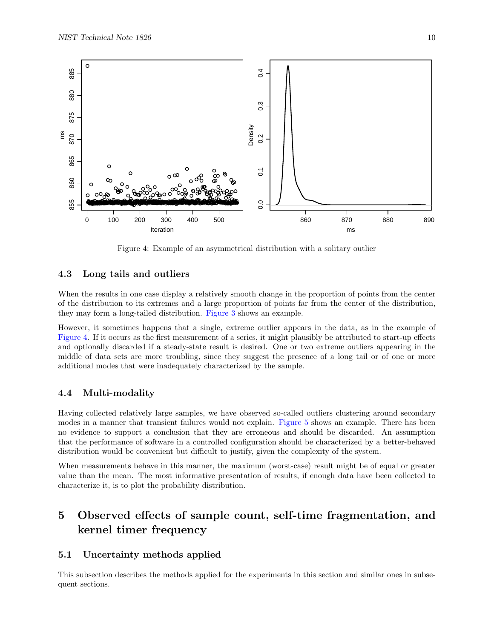<span id="page-12-1"></span>

Figure 4: Example of an asymmetrical distribution with a solitary outlier

### 4.3 Long tails and outliers

When the results in one case display a relatively smooth change in the proportion of points from the center of the distribution to its extremes and a large proportion of points far from the center of the distribution, they may form a long-tailed distribution. [Figure 3](#page-11-1) shows an example.

However, it sometimes happens that a single, extreme outlier appears in the data, as in the example of [Figure 4.](#page-12-1) If it occurs as the first measurement of a series, it might plausibly be attributed to start-up effects and optionally discarded if a steady-state result is desired. One or two extreme outliers appearing in the middle of data sets are more troubling, since they suggest the presence of a long tail or of one or more additional modes that were inadequately characterized by the sample.

### 4.4 Multi-modality

Having collected relatively large samples, we have observed so-called outliers clustering around secondary modes in a manner that transient failures would not explain. [Figure 5](#page-13-0) shows an example. There has been no evidence to support a conclusion that they are erroneous and should be discarded. An assumption that the performance of software in a controlled configuration should be characterized by a better-behaved distribution would be convenient but difficult to justify, given the complexity of the system.

When measurements behave in this manner, the maximum (worst-case) result might be of equal or greater value than the mean. The most informative presentation of results, if enough data have been collected to characterize it, is to plot the probability distribution.

# <span id="page-12-0"></span>5 Observed effects of sample count, self-time fragmentation, and kernel timer frequency

### 5.1 Uncertainty methods applied

This subsection describes the methods applied for the experiments in this section and similar ones in subsequent sections.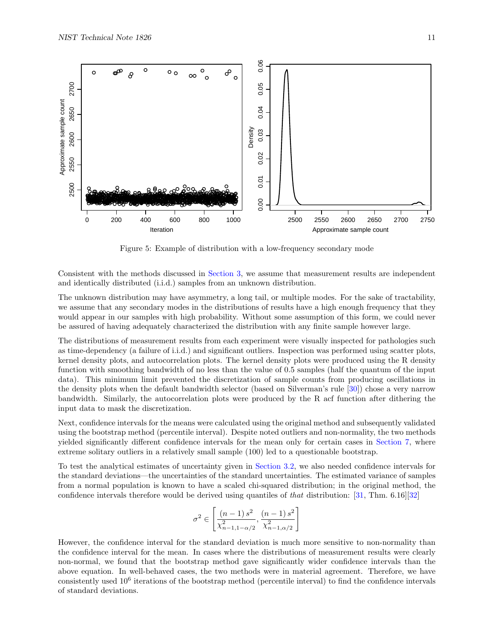<span id="page-13-0"></span>

Figure 5: Example of distribution with a low-frequency secondary mode

Consistent with the methods discussed in [Section 3,](#page-5-0) we assume that measurement results are independent and identically distributed (i.i.d.) samples from an unknown distribution.

The unknown distribution may have asymmetry, a long tail, or multiple modes. For the sake of tractability, we assume that any secondary modes in the distributions of results have a high enough frequency that they would appear in our samples with high probability. Without some assumption of this form, we could never be assured of having adequately characterized the distribution with any finite sample however large.

The distributions of measurement results from each experiment were visually inspected for pathologies such as time-dependency (a failure of i.i.d.) and significant outliers. Inspection was performed using scatter plots, kernel density plots, and autocorrelation plots. The kernel density plots were produced using the R density function with smoothing bandwidth of no less than the value of 0.5 samples (half the quantum of the input data). This minimum limit prevented the discretization of sample counts from producing oscillations in the density plots when the default bandwidth selector (based on Silverman's rule [\[30\]](#page-39-10)) chose a very narrow bandwidth. Similarly, the autocorrelation plots were produced by the R acf function after dithering the input data to mask the discretization.

Next, confidence intervals for the means were calculated using the original method and subsequently validated using the bootstrap method (percentile interval). Despite noted outliers and non-normality, the two methods yielded significantly different confidence intervals for the mean only for certain cases in [Section 7,](#page-29-0) where extreme solitary outliers in a relatively small sample (100) led to a questionable bootstrap.

To test the analytical estimates of uncertainty given in [Section 3.2,](#page-6-0) we also needed confidence intervals for the standard deviations—the uncertainties of the standard uncertainties. The estimated variance of samples from a normal population is known to have a scaled chi-squared distribution; in the original method, the confidence intervals therefore would be derived using quantiles of *that* distribution:  $[31, Thm. 6.16][32]$  $[31, Thm. 6.16][32]$  $[31, Thm. 6.16][32]$ 

$$
\sigma^{2} \in \left[\frac{(n-1) s^{2}}{\chi_{n-1,1-\alpha/2}^{2}}, \frac{(n-1) s^{2}}{\chi_{n-1,\alpha/2}^{2}}\right]
$$

However, the confidence interval for the standard deviation is much more sensitive to non-normality than the confidence interval for the mean. In cases where the distributions of measurement results were clearly non-normal, we found that the bootstrap method gave significantly wider confidence intervals than the above equation. In well-behaved cases, the two methods were in material agreement. Therefore, we have consistently used  $10^6$  iterations of the bootstrap method (percentile interval) to find the confidence intervals of standard deviations.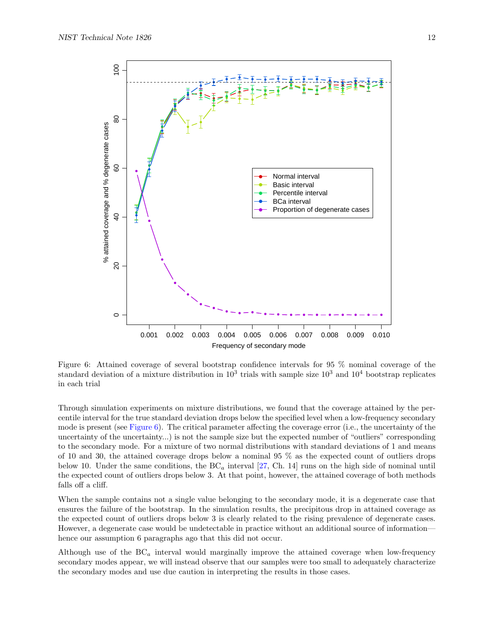<span id="page-14-0"></span>

Figure 6: Attained coverage of several bootstrap confidence intervals for 95 % nominal coverage of the standard deviation of a mixture distribution in  $10^3$  trials with sample size  $10^3$  and  $10^4$  bootstrap replicates in each trial

Through simulation experiments on mixture distributions, we found that the coverage attained by the percentile interval for the true standard deviation drops below the specified level when a low-frequency secondary mode is present (see [Figure 6\)](#page-14-0). The critical parameter affecting the coverage error (i.e., the uncertainty of the uncertainty of the uncertainty...) is not the sample size but the expected number of "outliers" corresponding to the secondary mode. For a mixture of two normal distributions with standard deviations of 1 and means of 10 and 30, the attained coverage drops below a nominal 95 % as the expected count of outliers drops below 10. Under the same conditions, the  $BC_a$  interval [\[27,](#page-39-7) Ch. 14] runs on the high side of nominal until the expected count of outliers drops below 3. At that point, however, the attained coverage of both methods falls off a cliff.

When the sample contains not a single value belonging to the secondary mode, it is a degenerate case that ensures the failure of the bootstrap. In the simulation results, the precipitous drop in attained coverage as the expected count of outliers drops below 3 is clearly related to the rising prevalence of degenerate cases. However, a degenerate case would be undetectable in practice without an additional source of information hence our assumption 6 paragraphs ago that this did not occur.

Although use of the  $BC_a$  interval would marginally improve the attained coverage when low-frequency secondary modes appear, we will instead observe that our samples were too small to adequately characterize the secondary modes and use due caution in interpreting the results in those cases.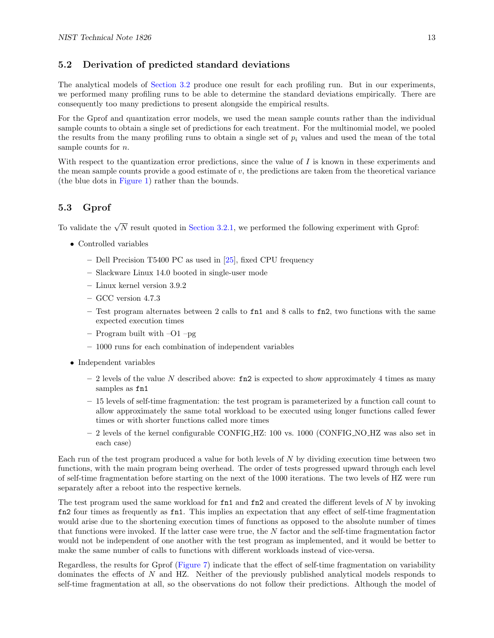### 5.2 Derivation of predicted standard deviations

The analytical models of [Section 3.2](#page-6-0) produce one result for each profiling run. But in our experiments, we performed many profiling runs to be able to determine the standard deviations empirically. There are consequently too many predictions to present alongside the empirical results.

For the Gprof and quantization error models, we used the mean sample counts rather than the individual sample counts to obtain a single set of predictions for each treatment. For the multinomial model, we pooled the results from the many profiling runs to obtain a single set of  $p_i$  values and used the mean of the total sample counts for *n*.

With respect to the quantization error predictions, since the value of I is known in these experiments and the mean sample counts provide a good estimate of  $v$ , the predictions are taken from the theoretical variance (the blue dots in [Figure 1\)](#page-8-0) rather than the bounds.

### <span id="page-15-0"></span>5.3 Gprof

To validate the  $\sqrt{N}$  result quoted in [Section 3.2.1,](#page-6-1) we performed the following experiment with Gprof:

- Controlled variables
	- Dell Precision T5400 PC as used in [\[25\]](#page-39-4), fixed CPU frequency
	- Slackware Linux 14.0 booted in single-user mode
	- Linux kernel version 3.9.2
	- GCC version 4.7.3
	- Test program alternates between 2 calls to fn1 and 8 calls to fn2, two functions with the same expected execution times
	- Program built with –O1 –pg
	- 1000 runs for each combination of independent variables
- Independent variables
	- $-2$  levels of the value N described above: fn2 is expected to show approximately 4 times as many samples as fn1
	- 15 levels of self-time fragmentation: the test program is parameterized by a function call count to allow approximately the same total workload to be executed using longer functions called fewer times or with shorter functions called more times
	- 2 levels of the kernel configurable CONFIG HZ: 100 vs. 1000 (CONFIG NO HZ was also set in each case)

Each run of the test program produced a value for both levels of N by dividing execution time between two functions, with the main program being overhead. The order of tests progressed upward through each level of self-time fragmentation before starting on the next of the 1000 iterations. The two levels of HZ were run separately after a reboot into the respective kernels.

The test program used the same workload for  $f\n 1$  and  $f\n 1$  and created the different levels of N by invoking fn2 four times as frequently as fn1. This implies an expectation that any effect of self-time fragmentation would arise due to the shortening execution times of functions as opposed to the absolute number of times that functions were invoked. If the latter case were true, the N factor and the self-time fragmentation factor would not be independent of one another with the test program as implemented, and it would be better to make the same number of calls to functions with different workloads instead of vice-versa.

Regardless, the results for Gprof [\(Figure 7\)](#page-16-0) indicate that the effect of self-time fragmentation on variability dominates the effects of N and HZ. Neither of the previously published analytical models responds to self-time fragmentation at all, so the observations do not follow their predictions. Although the model of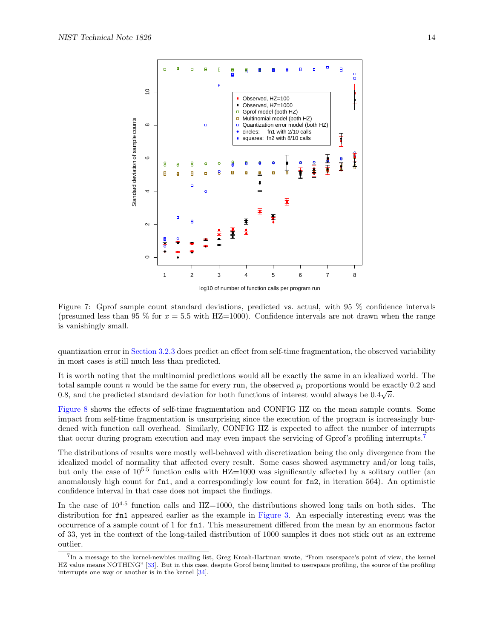<span id="page-16-0"></span>

Figure 7: Gprof sample count standard deviations, predicted vs. actual, with 95 % confidence intervals (presumed less than 95 % for  $x = 5.5$  with HZ=1000). Confidence intervals are not drawn when the range is vanishingly small.

quantization error in [Section 3.2.3](#page-7-1) does predict an effect from self-time fragmentation, the observed variability in most cases is still much less than predicted.

It is worth noting that the multinomial predictions would all be exactly the same in an idealized world. The total sample count n would be the same for every run, the observed  $p_i$  proportions would be exactly 0.2 and 0.8, and the predicted standard deviation for both functions of interest would always be  $0.4\sqrt{n}$ .

[Figure 8](#page-17-0) shows the effects of self-time fragmentation and CONFIG HZ on the mean sample counts. Some impact from self-time fragmentation is unsurprising since the execution of the program is increasingly burdened with function call overhead. Similarly, CONFIG HZ is expected to affect the number of interrupts that occur during program execution and may even impact the servicing of Gprof's profiling interrupts.[7](#page-16-1)

The distributions of results were mostly well-behaved with discretization being the only divergence from the idealized model of normality that affected every result. Some cases showed asymmetry and/or long tails, but only the case of  $10^{5.5}$  function calls with  $HZ=1000$  was significantly affected by a solitary outlier (an anomalously high count for fn1, and a correspondingly low count for fn2, in iteration 564). An optimistic confidence interval in that case does not impact the findings.

In the case of  $10^{4.5}$  function calls and HZ=1000, the distributions showed long tails on both sides. The distribution for fn1 appeared earlier as the example in [Figure 3.](#page-11-1) An especially interesting event was the occurrence of a sample count of 1 for fn1. This measurement differed from the mean by an enormous factor of 33, yet in the context of the long-tailed distribution of 1000 samples it does not stick out as an extreme outlier.

<span id="page-16-1"></span><sup>7</sup> In a message to the kernel-newbies mailing list, Greg Kroah-Hartman wrote, "From userspace's point of view, the kernel HZ value means NOTHING" [\[33\]](#page-39-13). But in this case, despite Gprof being limited to userspace profiling, the source of the profiling interrupts one way or another is in the kernel [\[34\]](#page-39-14).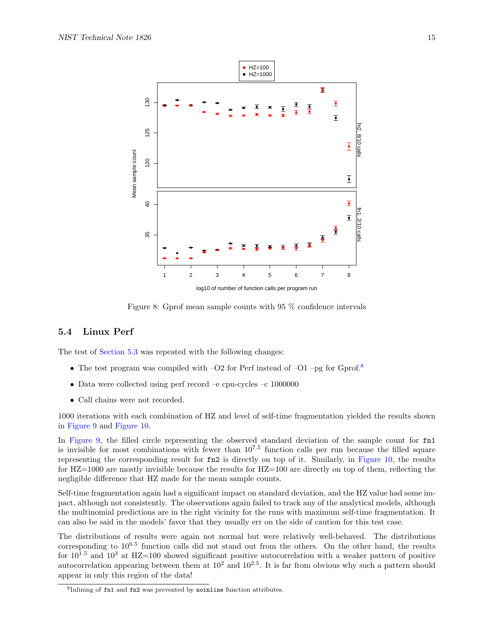<span id="page-17-0"></span>

Figure 8: Gprof mean sample counts with 95 % confidence intervals

### <span id="page-17-2"></span>5.4 Linux Perf

The test of [Section 5.3](#page-15-0) was repeated with the following changes:

- The test program was compiled with  $-O2$  for Perf instead of  $-O1$  –pg for Gprof.<sup>[8](#page-17-1)</sup>
- Data were collected using perf record –e cpu-cycles –c 1000000
- Call chains were not recorded.

1000 iterations with each combination of HZ and level of self-time fragmentation yielded the results shown in [Figure 9](#page-18-0) and [Figure 10.](#page-18-1)

In [Figure 9,](#page-18-0) the filled circle representing the observed standard deviation of the sample count for fn1 is invisible for most combinations with fewer than  $10^{7.5}$  function calls per run because the filled square representing the corresponding result for fn2 is directly on top of it. Similarly, in [Figure 10,](#page-18-1) the results for HZ=1000 are mostly invisible because the results for HZ=100 are directly on top of them, reflecting the negligible difference that HZ made for the mean sample counts.

Self-time fragmentation again had a significant impact on standard deviation, and the HZ value had some impact, although not consistently. The observations again failed to track any of the analytical models, although the multinomial predictions are in the right vicinity for the runs with maximum self-time fragmentation. It can also be said in the models' favor that they usually err on the side of caution for this test case.

The distributions of results were again not normal but were relatively well-behaved. The distributions corresponding to  $10^{6.5}$  function calls did not stand out from the others. On the other hand, the results for  $10^{1.5}$  and  $10^3$  at HZ=100 showed significant positive autocorrelation with a weaker pattern of positive autocorrelation appearing between them at  $10^2$  and  $10^{2.5}$ . It is far from obvious why such a pattern should appear in only this region of the data!

<span id="page-17-1"></span><sup>8</sup> Inlining of fn1 and fn2 was prevented by noinline function attributes.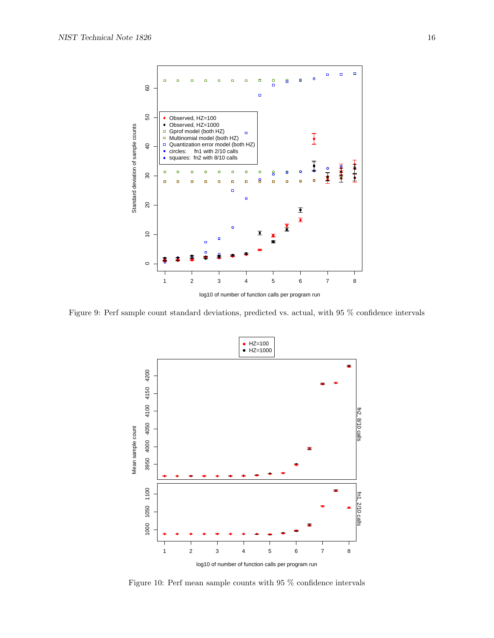<span id="page-18-0"></span>

<span id="page-18-1"></span>Figure 9: Perf sample count standard deviations, predicted vs. actual, with 95 % confidence intervals



Figure 10: Perf mean sample counts with 95 % confidence intervals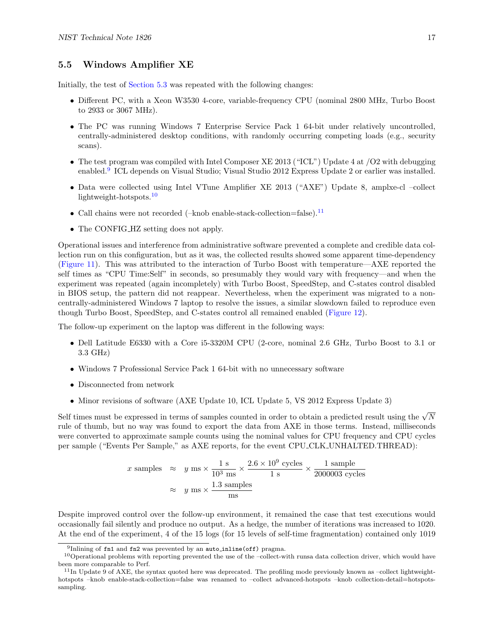### <span id="page-19-3"></span>5.5 Windows Amplifier XE

Initially, the test of [Section 5.3](#page-15-0) was repeated with the following changes:

- Different PC, with a Xeon W3530 4-core, variable-frequency CPU (nominal 2800 MHz, Turbo Boost to 2933 or 3067 MHz).
- The PC was running Windows 7 Enterprise Service Pack 1 64-bit under relatively uncontrolled, centrally-administered desktop conditions, with randomly occurring competing loads (e.g., security scans).
- The test program was compiled with Intel Composer XE 2013 ("ICL") Update 4 at  $\sqrt{O2}$  with debugging enabled.<sup>[9](#page-19-0)</sup> ICL depends on Visual Studio; Visual Studio 2012 Express Update 2 or earlier was installed.
- Data were collected using Intel VTune Amplifier XE 2013 ("AXE") Update 8, amplxe-cl –collect lightweight-hotspots.<sup>[10](#page-19-1)</sup>
- Call chains were not recorded  $(-\text{knob enable-state-collection=false})$ .<sup>[11](#page-19-2)</sup>
- The CONFIG\_HZ setting does not apply.

Operational issues and interference from administrative software prevented a complete and credible data collection run on this configuration, but as it was, the collected results showed some apparent time-dependency [\(Figure 11\)](#page-20-0). This was attributed to the interaction of Turbo Boost with temperature—AXE reported the self times as "CPU Time:Self" in seconds, so presumably they would vary with frequency—and when the experiment was repeated (again incompletely) with Turbo Boost, SpeedStep, and C-states control disabled in BIOS setup, the pattern did not reappear. Nevertheless, when the experiment was migrated to a noncentrally-administered Windows 7 laptop to resolve the issues, a similar slowdown failed to reproduce even though Turbo Boost, SpeedStep, and C-states control all remained enabled [\(Figure 12\)](#page-20-1).

The follow-up experiment on the laptop was different in the following ways:

- Dell Latitude E6330 with a Core i5-3320M CPU (2-core, nominal 2.6 GHz, Turbo Boost to 3.1 or 3.3 GHz)
- Windows 7 Professional Service Pack 1 64-bit with no unnecessary software
- Disconnected from network
- Minor revisions of software (AXE Update 10, ICL Update 5, VS 2012 Express Update 3)

Self times must be expressed in terms of samples counted in order to obtain a predicted result using the  $\sqrt{N}$ rule of thumb, but no way was found to export the data from AXE in those terms. Instead, milliseconds were converted to approximate sample counts using the nominal values for CPU frequency and CPU cycles per sample ("Events Per Sample," as AXE reports, for the event CPU CLK UNHALTED.THREAD):

$$
x
$$
 samples  $\approx$   $y$  ms  $\times \frac{1 \text{ s}}{10^3 \text{ ms}} \times \frac{2.6 \times 10^9 \text{ cycles}}{1 \text{ s}} \times \frac{1 \text{ sample}}{2000003 \text{ cycles}}$   
 $\approx$   $y$  ms  $\times \frac{1.3 \text{ samples}}{\text{ms}}$ 

Despite improved control over the follow-up environment, it remained the case that test executions would occasionally fail silently and produce no output. As a hedge, the number of iterations was increased to 1020. At the end of the experiment, 4 of the 15 logs (for 15 levels of self-time fragmentation) contained only 1019

<span id="page-19-1"></span><span id="page-19-0"></span> $9$ Inlining of fn1 and fn2 was prevented by an auto\_inline(off) pragma.

 $10$  Operational problems with reporting prevented the use of the –collect-with runsa data collection driver, which would have been more comparable to Perf.

<span id="page-19-2"></span> $11$ In Update 9 of AXE, the syntax quoted here was deprecated. The profiling mode previously known as  $-collect$  lightweighthotspots –knob enable-stack-collection=false was renamed to –collect advanced-hotspots –knob collection-detail=hotspotssampling.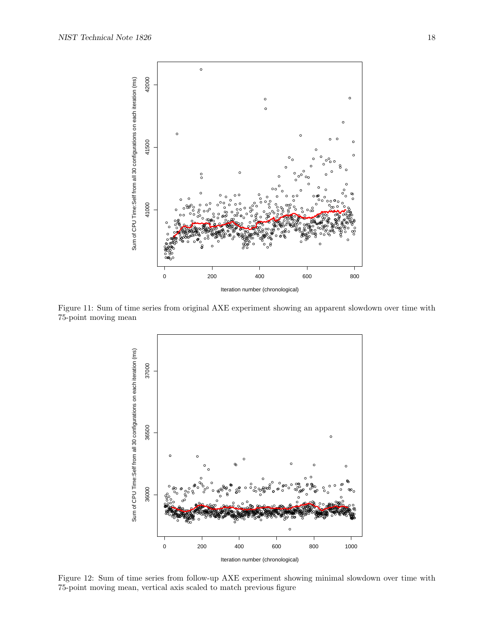<span id="page-20-0"></span>

<span id="page-20-1"></span>Figure 11: Sum of time series from original AXE experiment showing an apparent slowdown over time with 75-point moving mean



Figure 12: Sum of time series from follow-up AXE experiment showing minimal slowdown over time with 75-point moving mean, vertical axis scaled to match previous figure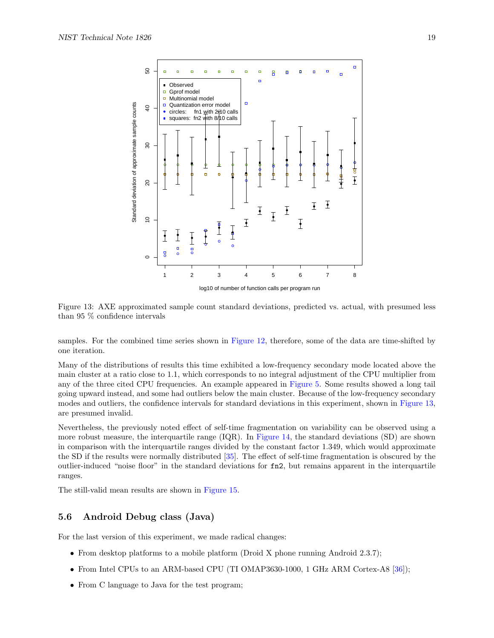<span id="page-21-0"></span>

Figure 13: AXE approximated sample count standard deviations, predicted vs. actual, with presumed less than 95 % confidence intervals

samples. For the combined time series shown in [Figure 12,](#page-20-1) therefore, some of the data are time-shifted by one iteration.

Many of the distributions of results this time exhibited a low-frequency secondary mode located above the main cluster at a ratio close to 1.1, which corresponds to no integral adjustment of the CPU multiplier from any of the three cited CPU frequencies. An example appeared in [Figure 5.](#page-13-0) Some results showed a long tail going upward instead, and some had outliers below the main cluster. Because of the low-frequency secondary modes and outliers, the confidence intervals for standard deviations in this experiment, shown in [Figure 13,](#page-21-0) are presumed invalid.

Nevertheless, the previously noted effect of self-time fragmentation on variability can be observed using a more robust measure, the interquartile range (IQR). In [Figure 14,](#page-22-0) the standard deviations (SD) are shown in comparison with the interquartile ranges divided by the constant factor 1.349, which would approximate the SD if the results were normally distributed [\[35\]](#page-39-15). The effect of self-time fragmentation is obscured by the outlier-induced "noise floor" in the standard deviations for fn2, but remains apparent in the interquartile ranges.

The still-valid mean results are shown in [Figure 15.](#page-22-1)

### 5.6 Android Debug class (Java)

For the last version of this experiment, we made radical changes:

- From desktop platforms to a mobile platform (Droid X phone running Android 2.3.7);
- From Intel CPUs to an ARM-based CPU (TI OMAP3630-1000, 1 GHz ARM Cortex-A8 [\[36\]](#page-39-16));
- From C language to Java for the test program;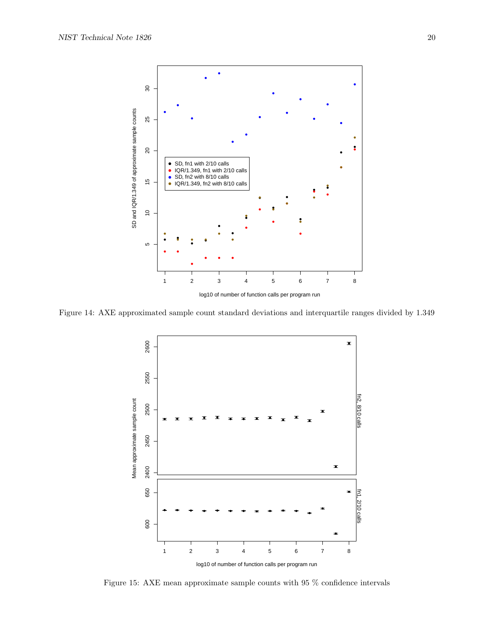<span id="page-22-0"></span>

<span id="page-22-1"></span>Figure 14: AXE approximated sample count standard deviations and interquartile ranges divided by 1.349



Figure 15: AXE mean approximate sample counts with 95 % confidence intervals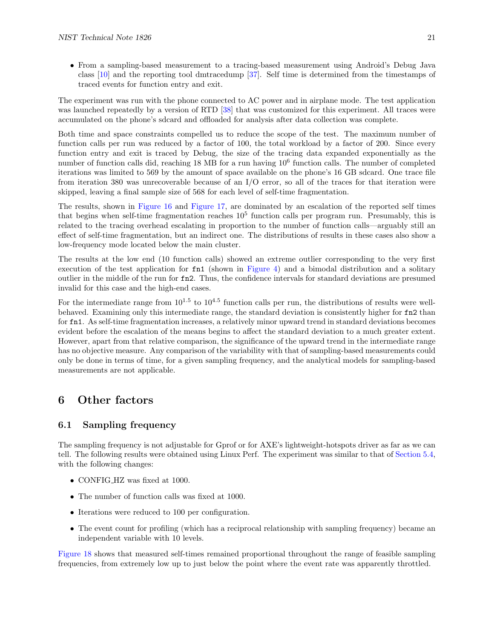• From a sampling-based measurement to a tracing-based measurement using Android's Debug Java class [\[10\]](#page-38-9) and the reporting tool dmtracedump [\[37\]](#page-39-17). Self time is determined from the timestamps of traced events for function entry and exit.

The experiment was run with the phone connected to AC power and in airplane mode. The test application was launched repeatedly by a version of RTD [\[38\]](#page-39-18) that was customized for this experiment. All traces were accumulated on the phone's sdcard and offloaded for analysis after data collection was complete.

Both time and space constraints compelled us to reduce the scope of the test. The maximum number of function calls per run was reduced by a factor of 100, the total workload by a factor of 200. Since every function entry and exit is traced by Debug, the size of the tracing data expanded exponentially as the number of function calls did, reaching 18 MB for a run having  $10^6$  function calls. The number of completed iterations was limited to 569 by the amount of space available on the phone's 16 GB sdcard. One trace file from iteration 380 was unrecoverable because of an I/O error, so all of the traces for that iteration were skipped, leaving a final sample size of 568 for each level of self-time fragmentation.

The results, shown in [Figure 16](#page-24-0) and [Figure 17,](#page-24-1) are dominated by an escalation of the reported self times that begins when self-time fragmentation reaches  $10^5$  function calls per program run. Presumably, this is related to the tracing overhead escalating in proportion to the number of function calls—arguably still an effect of self-time fragmentation, but an indirect one. The distributions of results in these cases also show a low-frequency mode located below the main cluster.

The results at the low end (10 function calls) showed an extreme outlier corresponding to the very first execution of the test application for fn1 (shown in [Figure 4\)](#page-12-1) and a bimodal distribution and a solitary outlier in the middle of the run for fn2. Thus, the confidence intervals for standard deviations are presumed invalid for this case and the high-end cases.

For the intermediate range from  $10^{1.5}$  to  $10^{4.5}$  function calls per run, the distributions of results were wellbehaved. Examining only this intermediate range, the standard deviation is consistently higher for fn2 than for fn1. As self-time fragmentation increases, a relatively minor upward trend in standard deviations becomes evident before the escalation of the means begins to affect the standard deviation to a much greater extent. However, apart from that relative comparison, the significance of the upward trend in the intermediate range has no objective measure. Any comparison of the variability with that of sampling-based measurements could only be done in terms of time, for a given sampling frequency, and the analytical models for sampling-based measurements are not applicable.

# <span id="page-23-0"></span>6 Other factors

### 6.1 Sampling frequency

The sampling frequency is not adjustable for Gprof or for AXE's lightweight-hotspots driver as far as we can tell. The following results were obtained using Linux Perf. The experiment was similar to that of [Section 5.4,](#page-17-2) with the following changes:

- CONFIG\_HZ was fixed at 1000.
- The number of function calls was fixed at 1000.
- Iterations were reduced to 100 per configuration.
- The event count for profiling (which has a reciprocal relationship with sampling frequency) became an independent variable with 10 levels.

[Figure 18](#page-25-0) shows that measured self-times remained proportional throughout the range of feasible sampling frequencies, from extremely low up to just below the point where the event rate was apparently throttled.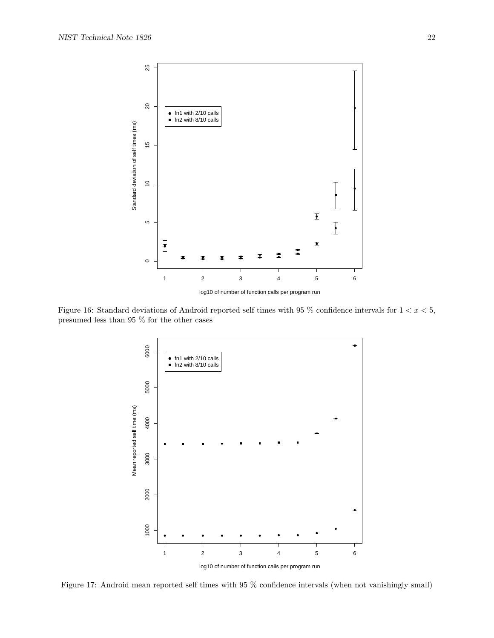<span id="page-24-0"></span>

<span id="page-24-1"></span>Figure 16: Standard deviations of Android reported self times with 95 % confidence intervals for  $1 < x < 5$ , presumed less than 95 % for the other cases



Figure 17: Android mean reported self times with 95 % confidence intervals (when not vanishingly small)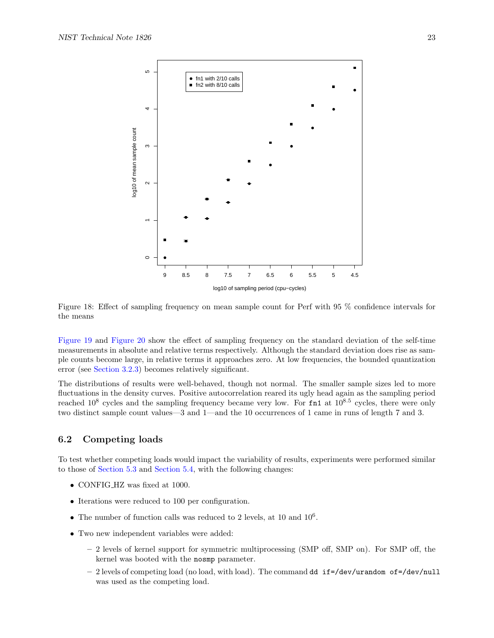<span id="page-25-0"></span>

Figure 18: Effect of sampling frequency on mean sample count for Perf with 95 % confidence intervals for the means

[Figure 19](#page-26-0) and [Figure 20](#page-26-1) show the effect of sampling frequency on the standard deviation of the self-time measurements in absolute and relative terms respectively. Although the standard deviation does rise as sample counts become large, in relative terms it approaches zero. At low frequencies, the bounded quantization error (see [Section 3.2.3\)](#page-7-1) becomes relatively significant.

The distributions of results were well-behaved, though not normal. The smaller sample sizes led to more fluctuations in the density curves. Positive autocorrelation reared its ugly head again as the sampling period reached  $10^8$  cycles and the sampling frequency became very low. For fn1 at  $10^{8.5}$  cycles, there were only two distinct sample count values—3 and 1—and the 10 occurrences of 1 came in runs of length 7 and 3.

### 6.2 Competing loads

To test whether competing loads would impact the variability of results, experiments were performed similar to those of [Section 5.3](#page-15-0) and [Section 5.4,](#page-17-2) with the following changes:

- CONFIG HZ was fixed at 1000.
- Iterations were reduced to 100 per configuration.
- The number of function calls was reduced to 2 levels, at 10 and  $10^6$ .
- Two new independent variables were added:
	- 2 levels of kernel support for symmetric multiprocessing (SMP off, SMP on). For SMP off, the kernel was booted with the nosmp parameter.
	- 2 levels of competing load (no load, with load). The command dd if=/dev/urandom of=/dev/null was used as the competing load.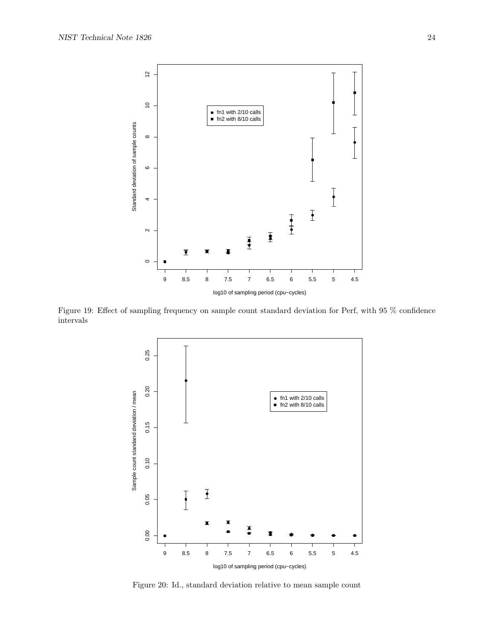<span id="page-26-0"></span>

<span id="page-26-1"></span>Figure 19: Effect of sampling frequency on sample count standard deviation for Perf, with 95 % confidence intervals



Figure 20: Id., standard deviation relative to mean sample count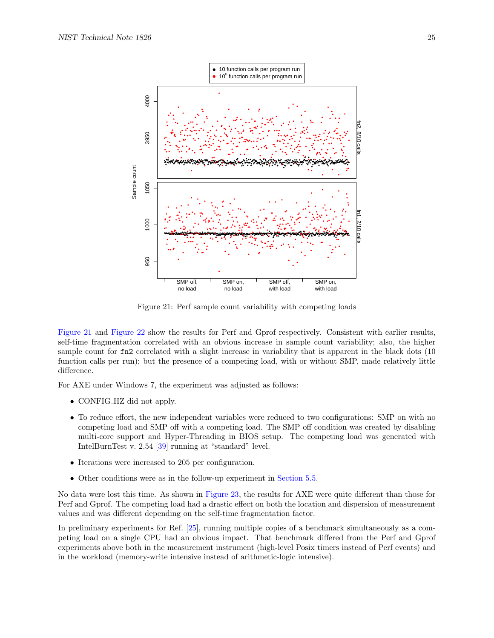<span id="page-27-0"></span>

Figure 21: Perf sample count variability with competing loads

[Figure 21](#page-27-0) and [Figure 22](#page-28-0) show the results for Perf and Gprof respectively. Consistent with earlier results, self-time fragmentation correlated with an obvious increase in sample count variability; also, the higher sample count for fn2 correlated with a slight increase in variability that is apparent in the black dots (10) function calls per run); but the presence of a competing load, with or without SMP, made relatively little difference.

For AXE under Windows 7, the experiment was adjusted as follows:

- CONFIG\_HZ did not apply.
- To reduce effort, the new independent variables were reduced to two configurations: SMP on with no competing load and SMP off with a competing load. The SMP off condition was created by disabling multi-core support and Hyper-Threading in BIOS setup. The competing load was generated with IntelBurnTest v. 2.54 [\[39\]](#page-39-19) running at "standard" level.
- Iterations were increased to 205 per configuration.
- Other conditions were as in the follow-up experiment in [Section 5.5.](#page-19-3)

No data were lost this time. As shown in [Figure 23,](#page-28-1) the results for AXE were quite different than those for Perf and Gprof. The competing load had a drastic effect on both the location and dispersion of measurement values and was different depending on the self-time fragmentation factor.

In preliminary experiments for Ref. [\[25\]](#page-39-4), running multiple copies of a benchmark simultaneously as a competing load on a single CPU had an obvious impact. That benchmark differed from the Perf and Gprof experiments above both in the measurement instrument (high-level Posix timers instead of Perf events) and in the workload (memory-write intensive instead of arithmetic-logic intensive).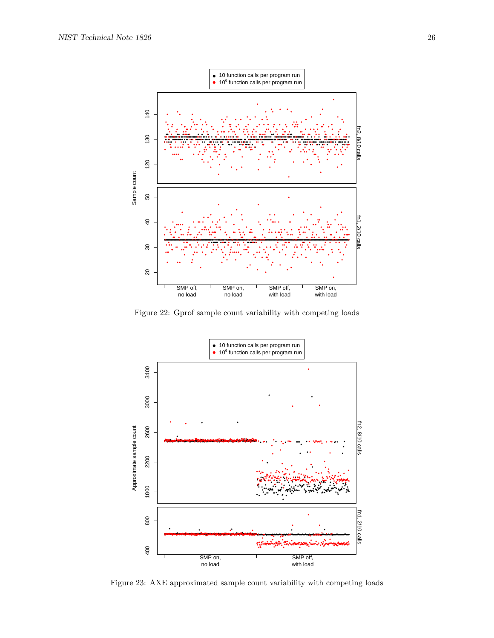<span id="page-28-0"></span>

Figure 22: Gprof sample count variability with competing loads

<span id="page-28-1"></span>

Figure 23: AXE approximated sample count variability with competing loads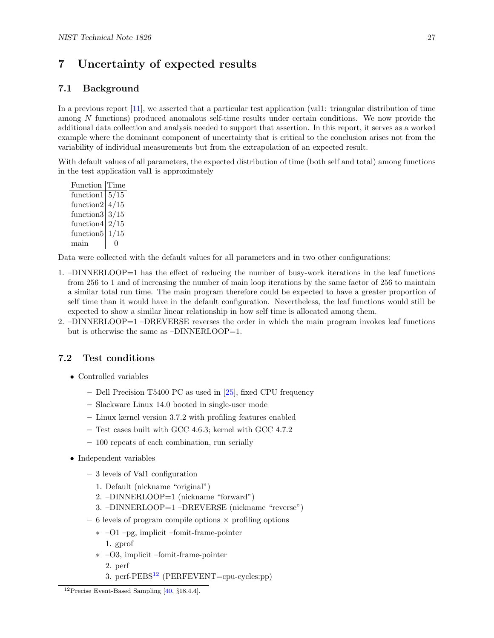# <span id="page-29-0"></span>7 Uncertainty of expected results

## 7.1 Background

In a previous report [\[11\]](#page-38-15), we asserted that a particular test application (val1: triangular distribution of time among N functions) produced anomalous self-time results under certain conditions. We now provide the additional data collection and analysis needed to support that assertion. In this report, it serves as a worked example where the dominant component of uncertainty that is critical to the conclusion arises not from the variability of individual measurements but from the extrapolation of an expected result.

With default values of all parameters, the expected distribution of time (both self and total) among functions in the test application val1 is approximately

Function Time function1  $5/15$ function2  $4/15$ function3  $3/15$ function4  $2/15$ function $5/1/15$ main 0

Data were collected with the default values for all parameters and in two other configurations:

- 1. –DINNERLOOP=1 has the effect of reducing the number of busy-work iterations in the leaf functions from 256 to 1 and of increasing the number of main loop iterations by the same factor of 256 to maintain a similar total run time. The main program therefore could be expected to have a greater proportion of self time than it would have in the default configuration. Nevertheless, the leaf functions would still be expected to show a similar linear relationship in how self time is allocated among them.
- 2. –DINNERLOOP=1 –DREVERSE reverses the order in which the main program invokes leaf functions but is otherwise the same as –DINNERLOOP=1.

### 7.2 Test conditions

- Controlled variables
	- Dell Precision T5400 PC as used in [\[25\]](#page-39-4), fixed CPU frequency
	- Slackware Linux 14.0 booted in single-user mode
	- Linux kernel version 3.7.2 with profiling features enabled
	- Test cases built with GCC 4.6.3; kernel with GCC 4.7.2
	- 100 repeats of each combination, run serially
- Independent variables
	- 3 levels of Val1 configuration
		- 1. Default (nickname "original")
		- 2. –DINNERLOOP=1 (nickname "forward")
		- 3. –DINNERLOOP=1 –DREVERSE (nickname "reverse")
	- $-6$  levels of program compile options  $\times$  profiling options
		- ∗ –O1 –pg, implicit –fomit-frame-pointer
			- 1. gprof
		- ∗ –O3, implicit –fomit-frame-pointer
			- 2. perf
			- 3. perf-PEBS[12](#page-29-1) (PERFEVENT=cpu-cycles:pp)

<span id="page-29-1"></span><sup>12</sup>Precise Event-Based Sampling [\[40,](#page-39-20) §18.4.4].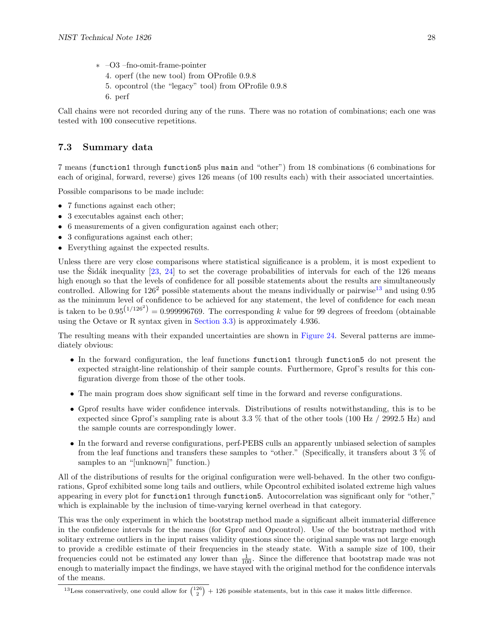- ∗ –O3 –fno-omit-frame-pointer
	- 4. operf (the new tool) from OProfile 0.9.8
	- 5. opcontrol (the "legacy" tool) from OProfile 0.9.8
	- 6. perf

Call chains were not recorded during any of the runs. There was no rotation of combinations; each one was tested with 100 consecutive repetitions.

### <span id="page-30-0"></span>7.3 Summary data

7 means (function1 through function5 plus main and "other") from 18 combinations (6 combinations for each of original, forward, reverse) gives 126 means (of 100 results each) with their associated uncertainties.

Possible comparisons to be made include:

- 7 functions against each other;
- 3 executables against each other;
- 6 measurements of a given configuration against each other;
- 3 configurations against each other;
- Everything against the expected results.

Unless there are very close comparisons where statistical significance is a problem, it is most expedient to use the Sidák inequality  $[23, 24]$  $[23, 24]$  $[23, 24]$  $[23, 24]$  to set the coverage probabilities of intervals for each of the 126 means high enough so that the levels of confidence for all possible statements about the results are simultaneously controlled. Allowing for  $126^2$  possible statements about the means individually or pairwise<sup>[13](#page-30-1)</sup> and using 0.95 as the minimum level of confidence to be achieved for any statement, the level of confidence for each mean is taken to be  $0.95^{(1/126^2)} = 0.999996769$ . The corresponding k value for 99 degrees of freedom (obtainable using the Octave or R syntax given in [Section 3.3\)](#page-9-1) is approximately 4.936.

The resulting means with their expanded uncertainties are shown in [Figure 24.](#page-31-0) Several patterns are immediately obvious:

- In the forward configuration, the leaf functions function1 through function5 do not present the expected straight-line relationship of their sample counts. Furthermore, Gprof's results for this configuration diverge from those of the other tools.
- The main program does show significant self time in the forward and reverse configurations.
- Gprof results have wider confidence intervals. Distributions of results notwithstanding, this is to be expected since Gprof's sampling rate is about 3.3  $\%$  that of the other tools (100 Hz / 2992.5 Hz) and the sample counts are correspondingly lower.
- In the forward and reverse configurations, perf-PEBS culls an apparently unbiased selection of samples from the leaf functions and transfers these samples to "other." (Specifically, it transfers about 3 % of samples to an "[unknown]" function.)

All of the distributions of results for the original configuration were well-behaved. In the other two configurations, Gprof exhibited some long tails and outliers, while Opcontrol exhibited isolated extreme high values appearing in every plot for function1 through function5. Autocorrelation was significant only for "other," which is explainable by the inclusion of time-varying kernel overhead in that category.

This was the only experiment in which the bootstrap method made a significant albeit immaterial difference in the confidence intervals for the means (for Gprof and Opcontrol). Use of the bootstrap method with solitary extreme outliers in the input raises validity questions since the original sample was not large enough to provide a credible estimate of their frequencies in the steady state. With a sample size of 100, their frequencies could not be estimated any lower than  $\frac{1}{100}$ . Since the difference that bootstrap made was not enough to materially impact the findings, we have stayed with the original method for the confidence intervals of the means.

<span id="page-30-1"></span><sup>&</sup>lt;sup>13</sup>Less conservatively, one could allow for  $\binom{126}{2}$  + 126 possible statements, but in this case it makes little difference.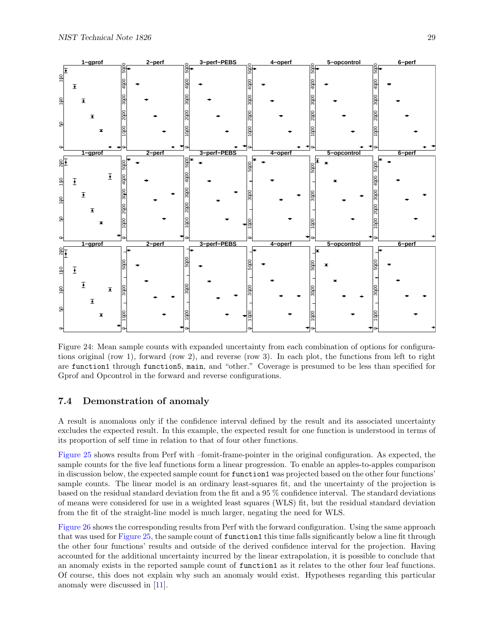<span id="page-31-0"></span>

Figure 24: Mean sample counts with expanded uncertainty from each combination of options for configurations original (row 1), forward (row 2), and reverse (row 3). In each plot, the functions from left to right are function1 through function5, main, and "other." Coverage is presumed to be less than specified for Gprof and Opcontrol in the forward and reverse configurations.

### 7.4 Demonstration of anomaly

A result is anomalous only if the confidence interval defined by the result and its associated uncertainty excludes the expected result. In this example, the expected result for one function is understood in terms of its proportion of self time in relation to that of four other functions.

[Figure 25](#page-32-1) shows results from Perf with –fomit-frame-pointer in the original configuration. As expected, the sample counts for the five leaf functions form a linear progression. To enable an apples-to-apples comparison in discussion below, the expected sample count for function1 was projected based on the other four functions' sample counts. The linear model is an ordinary least-squares fit, and the uncertainty of the projection is based on the residual standard deviation from the fit and a 95 % confidence interval. The standard deviations of means were considered for use in a weighted least squares (WLS) fit, but the residual standard deviation from the fit of the straight-line model is much larger, negating the need for WLS.

[Figure 26](#page-33-0) shows the corresponding results from Perf with the forward configuration. Using the same approach that was used for [Figure 25,](#page-32-1) the sample count of function1 this time falls significantly below a line fit through the other four functions' results and outside of the derived confidence interval for the projection. Having accounted for the additional uncertainty incurred by the linear extrapolation, it is possible to conclude that an anomaly exists in the reported sample count of function1 as it relates to the other four leaf functions. Of course, this does not explain why such an anomaly would exist. Hypotheses regarding this particular anomaly were discussed in [\[11\]](#page-38-15).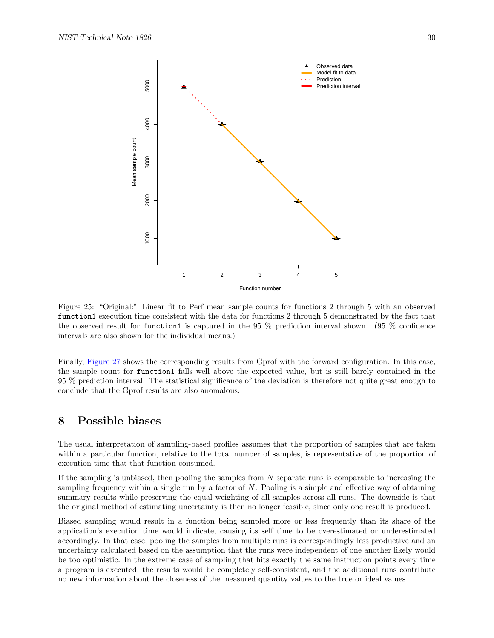<span id="page-32-1"></span>

Figure 25: "Original:" Linear fit to Perf mean sample counts for functions 2 through 5 with an observed function1 execution time consistent with the data for functions 2 through 5 demonstrated by the fact that the observed result for function1 is captured in the 95  $\%$  prediction interval shown. (95  $\%$  confidence intervals are also shown for the individual means.)

Finally, [Figure 27](#page-34-1) shows the corresponding results from Gprof with the forward configuration. In this case, the sample count for function1 falls well above the expected value, but is still barely contained in the 95 % prediction interval. The statistical significance of the deviation is therefore not quite great enough to conclude that the Gprof results are also anomalous.

### <span id="page-32-0"></span>8 Possible biases

The usual interpretation of sampling-based profiles assumes that the proportion of samples that are taken within a particular function, relative to the total number of samples, is representative of the proportion of execution time that that function consumed.

If the sampling is unbiased, then pooling the samples from  $N$  separate runs is comparable to increasing the sampling frequency within a single run by a factor of N. Pooling is a simple and effective way of obtaining summary results while preserving the equal weighting of all samples across all runs. The downside is that the original method of estimating uncertainty is then no longer feasible, since only one result is produced.

Biased sampling would result in a function being sampled more or less frequently than its share of the application's execution time would indicate, causing its self time to be overestimated or underestimated accordingly. In that case, pooling the samples from multiple runs is correspondingly less productive and an uncertainty calculated based on the assumption that the runs were independent of one another likely would be too optimistic. In the extreme case of sampling that hits exactly the same instruction points every time a program is executed, the results would be completely self-consistent, and the additional runs contribute no new information about the closeness of the measured quantity values to the true or ideal values.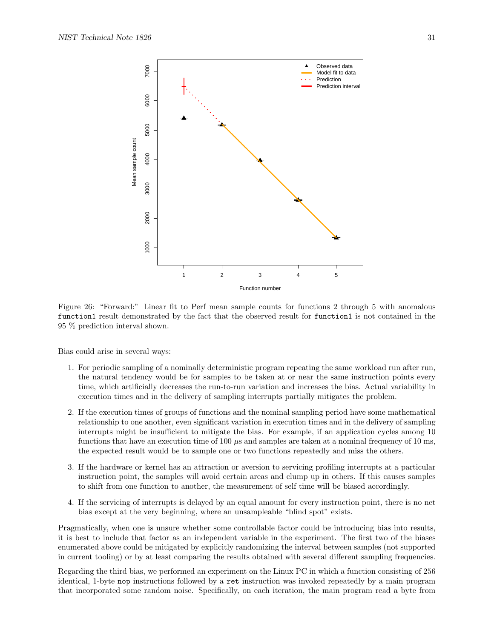<span id="page-33-0"></span>

Figure 26: "Forward:" Linear fit to Perf mean sample counts for functions 2 through 5 with anomalous function1 result demonstrated by the fact that the observed result for function1 is not contained in the 95 % prediction interval shown.

Bias could arise in several ways:

- 1. For periodic sampling of a nominally deterministic program repeating the same workload run after run, the natural tendency would be for samples to be taken at or near the same instruction points every time, which artificially decreases the run-to-run variation and increases the bias. Actual variability in execution times and in the delivery of sampling interrupts partially mitigates the problem.
- 2. If the execution times of groups of functions and the nominal sampling period have some mathematical relationship to one another, even significant variation in execution times and in the delivery of sampling interrupts might be insufficient to mitigate the bias. For example, if an application cycles among 10 functions that have an execution time of 100  $\mu$ s and samples are taken at a nominal frequency of 10 ms, the expected result would be to sample one or two functions repeatedly and miss the others.
- 3. If the hardware or kernel has an attraction or aversion to servicing profiling interrupts at a particular instruction point, the samples will avoid certain areas and clump up in others. If this causes samples to shift from one function to another, the measurement of self time will be biased accordingly.
- 4. If the servicing of interrupts is delayed by an equal amount for every instruction point, there is no net bias except at the very beginning, where an unsampleable "blind spot" exists.

Pragmatically, when one is unsure whether some controllable factor could be introducing bias into results, it is best to include that factor as an independent variable in the experiment. The first two of the biases enumerated above could be mitigated by explicitly randomizing the interval between samples (not supported in current tooling) or by at least comparing the results obtained with several different sampling frequencies.

Regarding the third bias, we performed an experiment on the Linux PC in which a function consisting of 256 identical, 1-byte nop instructions followed by a ret instruction was invoked repeatedly by a main program that incorporated some random noise. Specifically, on each iteration, the main program read a byte from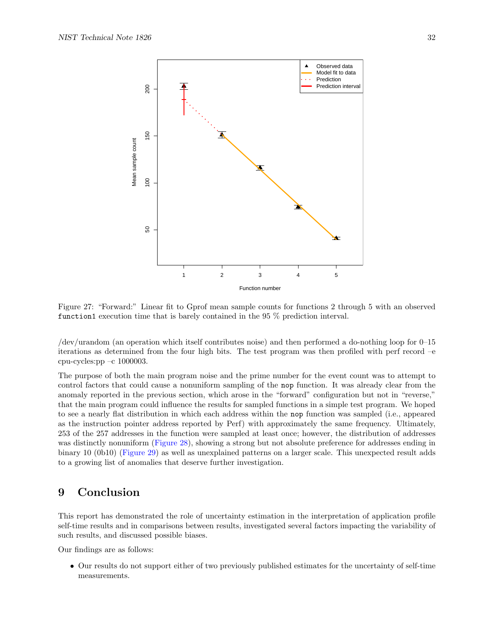<span id="page-34-1"></span>

Figure 27: "Forward:" Linear fit to Gprof mean sample counts for functions 2 through 5 with an observed function1 execution time that is barely contained in the 95 % prediction interval.

/dev/urandom (an operation which itself contributes noise) and then performed a do-nothing loop for 0–15 iterations as determined from the four high bits. The test program was then profiled with perf record –e cpu-cycles: $pp -c 1000003$ .

The purpose of both the main program noise and the prime number for the event count was to attempt to control factors that could cause a nonuniform sampling of the nop function. It was already clear from the anomaly reported in the previous section, which arose in the "forward" configuration but not in "reverse," that the main program could influence the results for sampled functions in a simple test program. We hoped to see a nearly flat distribution in which each address within the nop function was sampled (i.e., appeared as the instruction pointer address reported by Perf) with approximately the same frequency. Ultimately, 253 of the 257 addresses in the function were sampled at least once; however, the distribution of addresses was distinctly nonuniform [\(Figure 28\)](#page-35-0), showing a strong but not absolute preference for addresses ending in binary 10 (0b10) [\(Figure 29\)](#page-36-0) as well as unexplained patterns on a larger scale. This unexpected result adds to a growing list of anomalies that deserve further investigation.

# <span id="page-34-0"></span>9 Conclusion

This report has demonstrated the role of uncertainty estimation in the interpretation of application profile self-time results and in comparisons between results, investigated several factors impacting the variability of such results, and discussed possible biases.

Our findings are as follows:

• Our results do not support either of two previously published estimates for the uncertainty of self-time measurements.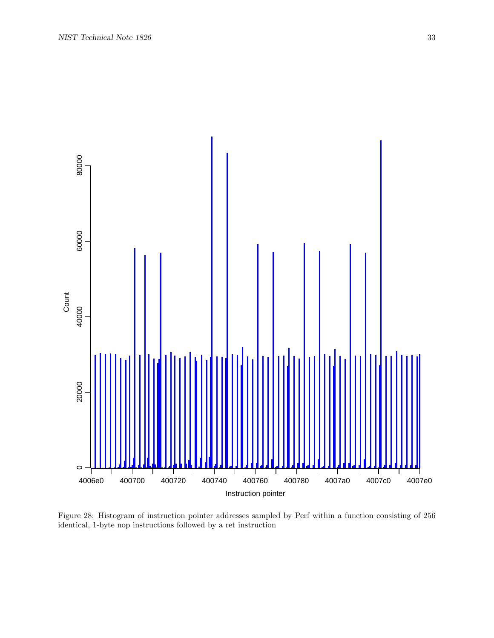<span id="page-35-0"></span>

Figure 28: Histogram of instruction pointer addresses sampled by Perf within a function consisting of 256 identical, 1-byte nop instructions followed by a ret instruction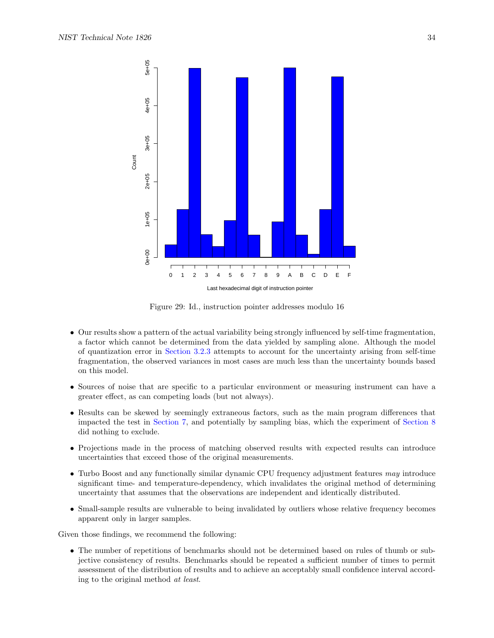<span id="page-36-0"></span>

Figure 29: Id., instruction pointer addresses modulo 16

- Our results show a pattern of the actual variability being strongly influenced by self-time fragmentation, a factor which cannot be determined from the data yielded by sampling alone. Although the model of quantization error in [Section 3.2.3](#page-7-1) attempts to account for the uncertainty arising from self-time fragmentation, the observed variances in most cases are much less than the uncertainty bounds based on this model.
- Sources of noise that are specific to a particular environment or measuring instrument can have a greater effect, as can competing loads (but not always).
- Results can be skewed by seemingly extraneous factors, such as the main program differences that impacted the test in [Section 7,](#page-29-0) and potentially by sampling bias, which the experiment of [Section 8](#page-32-0) did nothing to exclude.
- Projections made in the process of matching observed results with expected results can introduce uncertainties that exceed those of the original measurements.
- Turbo Boost and any functionally similar dynamic CPU frequency adjustment features may introduce significant time- and temperature-dependency, which invalidates the original method of determining uncertainty that assumes that the observations are independent and identically distributed.
- Small-sample results are vulnerable to being invalidated by outliers whose relative frequency becomes apparent only in larger samples.

Given those findings, we recommend the following:

• The number of repetitions of benchmarks should not be determined based on rules of thumb or subjective consistency of results. Benchmarks should be repeated a sufficient number of times to permit assessment of the distribution of results and to achieve an acceptably small confidence interval according to the original method at least.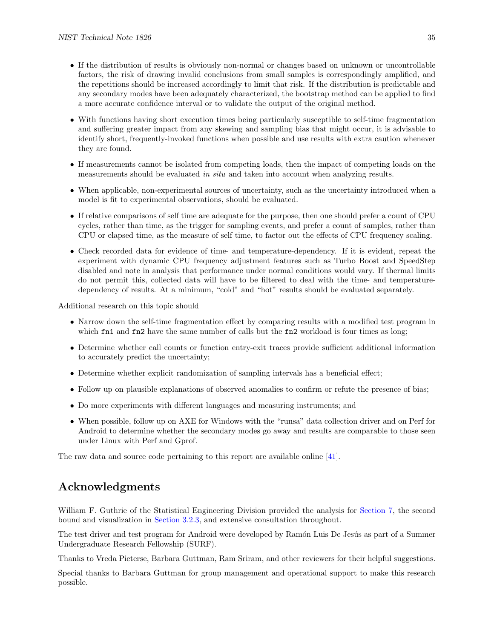- If the distribution of results is obviously non-normal or changes based on unknown or uncontrollable factors, the risk of drawing invalid conclusions from small samples is correspondingly amplified, and the repetitions should be increased accordingly to limit that risk. If the distribution is predictable and any secondary modes have been adequately characterized, the bootstrap method can be applied to find a more accurate confidence interval or to validate the output of the original method.
- With functions having short execution times being particularly susceptible to self-time fragmentation and suffering greater impact from any skewing and sampling bias that might occur, it is advisable to identify short, frequently-invoked functions when possible and use results with extra caution whenever they are found.
- If measurements cannot be isolated from competing loads, then the impact of competing loads on the measurements should be evaluated in situ and taken into account when analyzing results.
- When applicable, non-experimental sources of uncertainty, such as the uncertainty introduced when a model is fit to experimental observations, should be evaluated.
- If relative comparisons of self time are adequate for the purpose, then one should prefer a count of CPU cycles, rather than time, as the trigger for sampling events, and prefer a count of samples, rather than CPU or elapsed time, as the measure of self time, to factor out the effects of CPU frequency scaling.
- Check recorded data for evidence of time- and temperature-dependency. If it is evident, repeat the experiment with dynamic CPU frequency adjustment features such as Turbo Boost and SpeedStep disabled and note in analysis that performance under normal conditions would vary. If thermal limits do not permit this, collected data will have to be filtered to deal with the time- and temperaturedependency of results. At a minimum, "cold" and "hot" results should be evaluated separately.

Additional research on this topic should

- Narrow down the self-time fragmentation effect by comparing results with a modified test program in which fn1 and fn2 have the same number of calls but the fn2 workload is four times as long;
- Determine whether call counts or function entry-exit traces provide sufficient additional information to accurately predict the uncertainty;
- Determine whether explicit randomization of sampling intervals has a beneficial effect;
- Follow up on plausible explanations of observed anomalies to confirm or refute the presence of bias;
- Do more experiments with different languages and measuring instruments; and
- When possible, follow up on AXE for Windows with the "runsa" data collection driver and on Perf for Android to determine whether the secondary modes go away and results are comparable to those seen under Linux with Perf and Gprof.

The raw data and source code pertaining to this report are available online [\[41\]](#page-39-21).

# Acknowledgments

William F. Guthrie of the Statistical Engineering Division provided the analysis for [Section 7,](#page-29-0) the second bound and visualization in [Section 3.2.3,](#page-7-1) and extensive consultation throughout.

The test driver and test program for Android were developed by Ramón Luis De Jesús as part of a Summer Undergraduate Research Fellowship (SURF).

Thanks to Vreda Pieterse, Barbara Guttman, Ram Sriram, and other reviewers for their helpful suggestions.

Special thanks to Barbara Guttman for group management and operational support to make this research possible.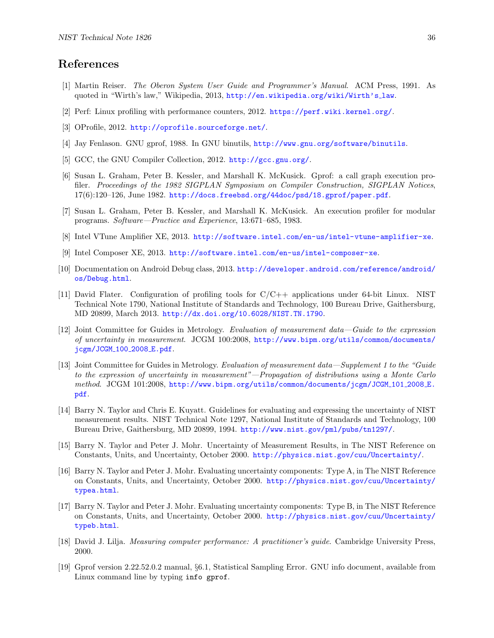# References

- <span id="page-38-0"></span>[1] Martin Reiser. The Oberon System User Guide and Programmer's Manual. ACM Press, 1991. As quoted in "Wirth's law," Wikipedia, 2013, [http://en.wikipedia.org/wiki/Wirth's](http://en.wikipedia.org/wiki/Wirth) law.
- <span id="page-38-1"></span>[2] Perf: Linux profiling with performance counters, 2012. <https://perf.wiki.kernel.org/>.
- <span id="page-38-2"></span>[3] OProfile, 2012. <http://oprofile.sourceforge.net/>.
- <span id="page-38-3"></span>[4] Jay Fenlason. GNU gprof, 1988. In GNU binutils, <http://www.gnu.org/software/binutils>.
- <span id="page-38-4"></span>[5] GCC, the GNU Compiler Collection, 2012. <http://gcc.gnu.org/>.
- <span id="page-38-5"></span>[6] Susan L. Graham, Peter B. Kessler, and Marshall K. McKusick. Gprof: a call graph execution profiler. Proceedings of the 1982 SIGPLAN Symposium on Compiler Construction, SIGPLAN Notices, 17(6):120–126, June 1982. <http://docs.freebsd.org/44doc/psd/18.gprof/paper.pdf>.
- <span id="page-38-6"></span>[7] Susan L. Graham, Peter B. Kessler, and Marshall K. McKusick. An execution profiler for modular programs. Software—Practice and Experience, 13:671–685, 1983.
- <span id="page-38-7"></span>[8] Intel VTune Amplifier XE, 2013. <http://software.intel.com/en-us/intel-vtune-amplifier-xe>.
- <span id="page-38-8"></span>[9] Intel Composer XE, 2013. <http://software.intel.com/en-us/intel-composer-xe>.
- <span id="page-38-9"></span>[10] Documentation on Android Debug class, 2013. [http://developer.android.com/reference/android/](http://developer.android.com/reference/android/os/Debug.html) [os/Debug.html](http://developer.android.com/reference/android/os/Debug.html).
- <span id="page-38-15"></span>[11] David Flater. Configuration of profiling tools for C/C++ applications under 64-bit Linux. NIST Technical Note 1790, National Institute of Standards and Technology, 100 Bureau Drive, Gaithersburg, MD 20899, March 2013. <http://dx.doi.org/10.6028/NIST.TN.1790>.
- <span id="page-38-10"></span>[12] Joint Committee for Guides in Metrology. Evaluation of measurement data—Guide to the expression of uncertainty in measurement. JCGM 100:2008, [http://www.bipm.org/utils/common/documents/](http://www.bipm.org/utils/common/documents/jcgm/JCGM_100_2008_E.pdf) [jcgm/JCGM](http://www.bipm.org/utils/common/documents/jcgm/JCGM_100_2008_E.pdf) 100 2008 E.pdf.
- <span id="page-38-11"></span>[13] Joint Committee for Guides in Metrology. Evaluation of measurement data—Supplement 1 to the "Guide to the expression of uncertainty in measurement"—Propagation of distributions using a Monte Carlo method. JCGM 101:2008, [http://www.bipm.org/utils/common/documents/jcgm/JCGM](http://www.bipm.org/utils/common/documents/jcgm/JCGM_101_2008_E.pdf) 101 2008 E. [pdf](http://www.bipm.org/utils/common/documents/jcgm/JCGM_101_2008_E.pdf).
- <span id="page-38-12"></span>[14] Barry N. Taylor and Chris E. Kuyatt. Guidelines for evaluating and expressing the uncertainty of NIST measurement results. NIST Technical Note 1297, National Institute of Standards and Technology, 100 Bureau Drive, Gaithersburg, MD 20899, 1994. <http://www.nist.gov/pml/pubs/tn1297/>.
- <span id="page-38-13"></span>[15] Barry N. Taylor and Peter J. Mohr. Uncertainty of Measurement Results, in The NIST Reference on Constants, Units, and Uncertainty, October 2000. <http://physics.nist.gov/cuu/Uncertainty/>.
- <span id="page-38-14"></span>[16] Barry N. Taylor and Peter J. Mohr. Evaluating uncertainty components: Type A, in The NIST Reference on Constants, Units, and Uncertainty, October 2000. [http://physics.nist.gov/cuu/Uncertainty/](http://physics.nist.gov/cuu/Uncertainty/typea.html) [typea.html](http://physics.nist.gov/cuu/Uncertainty/typea.html).
- <span id="page-38-16"></span>[17] Barry N. Taylor and Peter J. Mohr. Evaluating uncertainty components: Type B, in The NIST Reference on Constants, Units, and Uncertainty, October 2000. [http://physics.nist.gov/cuu/Uncertainty/](http://physics.nist.gov/cuu/Uncertainty/typeb.html) [typeb.html](http://physics.nist.gov/cuu/Uncertainty/typeb.html).
- <span id="page-38-17"></span>[18] David J. Lilja. Measuring computer performance: A practitioner's guide. Cambridge University Press, 2000.
- <span id="page-38-18"></span>[19] Gprof version 2.22.52.0.2 manual, §6.1, Statistical Sampling Error. GNU info document, available from Linux command line by typing info gprof.